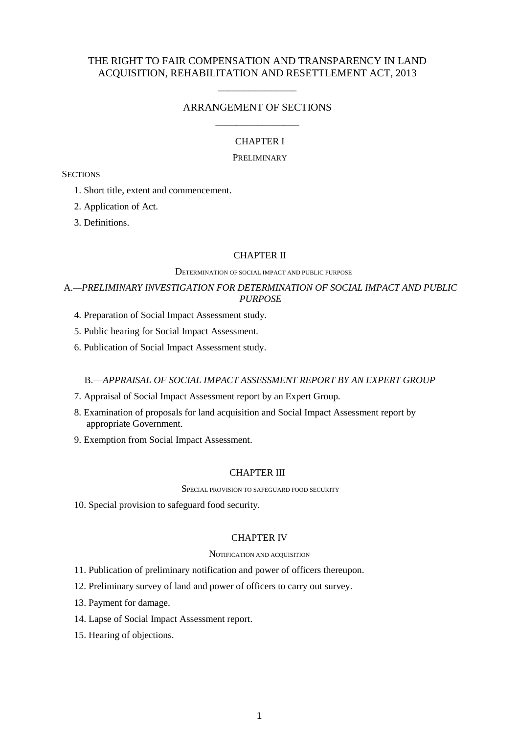## THE RIGHT TO FAIR COMPENSATION AND TRANSPARENCY IN LAND ACQUISITION, REHABILITATION AND RESETTLEMENT ACT, 2013

# $\frac{1}{\sqrt{2\pi}}$ ARRANGEMENT OF SECTIONS

# –––––––––––––––– CHAPTER I

### PRELIMINARY

### **SECTIONS**

- 1. Short title, extent and commencement.
- 2. Application of Act.
- 3. Definitions.

### CHAPTER II

#### DETERMINATION OF SOCIAL IMPACT AND PUBLIC PURPOSE

## A*.—PRELIMINARY INVESTIGATION FOR DETERMINATION OF SOCIAL IMPACT AND PUBLIC PURPOSE*

- 4. Preparation of Social Impact Assessment study.
- 5. Public hearing for Social Impact Assessment*.*
- 6. Publication of Social Impact Assessment study.

## B.—*APPRAISAL OF SOCIAL IMPACT ASSESSMENT REPORT BY AN EXPERT GROUP*

- 7. Appraisal of Social Impact Assessment report by an Expert Group.
- 8. Examination of proposals for land acquisition and Social Impact Assessment report by appropriate Government.
- 9. Exemption from Social Impact Assessment.

### CHAPTER III

SPECIAL PROVISION TO SAFEGUARD FOOD SECURITY

10. Special provision to safeguard food security.

### CHAPTER IV

#### NOTIFICATION AND ACQUISITION

11. Publication of preliminary notification and power of officers thereupon.

- 12. Preliminary survey of land and power of officers to carry out survey.
- 13. Payment for damage.
- 14. Lapse of Social Impact Assessment report.
- 15. Hearing of objections.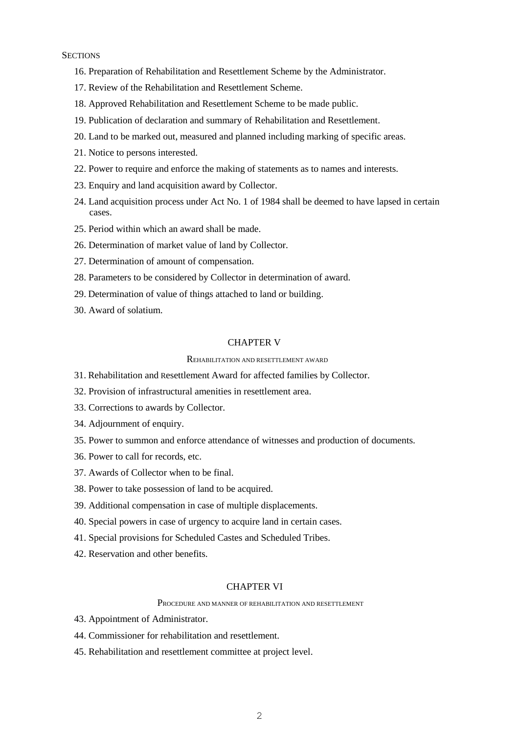### **SECTIONS**

- 16. Preparation of Rehabilitation and Resettlement Scheme by the Administrator.
- 17. Review of the Rehabilitation and Resettlement Scheme.
- 18. Approved Rehabilitation and Resettlement Scheme to be made public.
- 19. Publication of declaration and summary of Rehabilitation and Resettlement.
- 20. Land to be marked out, measured and planned including marking of specific areas.
- 21. Notice to persons interested.
- 22. Power to require and enforce the making of statements as to names and interests.
- 23. Enquiry and land acquisition award by Collector.
- 24. Land acquisition process under Act No. 1 of 1984 shall be deemed to have lapsed in certain cases.
- 25. Period within which an award shall be made.
- 26. Determination of market value of land by Collector.
- 27. Determination of amount of compensation.
- 28. Parameters to be considered by Collector in determination of award.
- 29. Determination of value of things attached to land or building.
- 30. Award of solatium.

### CHAPTER V

### REHABILITATION AND RESETTLEMENT AWARD

- 31. Rehabilitation and Resettlement Award for affected families by Collector.
- 32. Provision of infrastructural amenities in resettlement area.
- 33. Corrections to awards by Collector.
- 34. Adjournment of enquiry.
- 35. Power to summon and enforce attendance of witnesses and production of documents.
- 36. Power to call for records, etc.
- 37. Awards of Collector when to be final.
- 38. Power to take possession of land to be acquired.
- 39. Additional compensation in case of multiple displacements.
- 40. Special powers in case of urgency to acquire land in certain cases.
- 41. Special provisions for Scheduled Castes and Scheduled Tribes.
- 42. Reservation and other benefits.

### CHAPTER VI

#### PROCEDURE AND MANNER OF REHABILITATION AND RESETTLEMENT

- 43. Appointment of Administrator.
- 44. Commissioner for rehabilitation and resettlement.
- 45. Rehabilitation and resettlement committee at project level.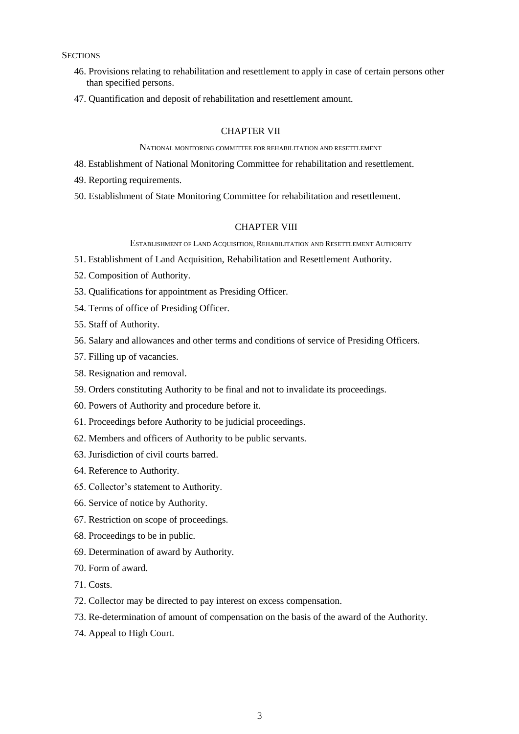**SECTIONS** 

- 46. Provisions relating to rehabilitation and resettlement to apply in case of certain persons other than specified persons.
- 47. Quantification and deposit of rehabilitation and resettlement amount.

## CHAPTER VII

NATIONAL MONITORING COMMITTEE FOR REHABILITATION AND RESETTLEMENT

- 48. Establishment of National Monitoring Committee for rehabilitation and resettlement.
- 49. Reporting requirements.
- 50. Establishment of State Monitoring Committee for rehabilitation and resettlement.

### CHAPTER VIII

ESTABLISHMENT OF LAND ACQUISITION, REHABILITATION AND RESETTLEMENT AUTHORITY

- 51. Establishment of Land Acquisition, Rehabilitation and Resettlement Authority.
- 52. Composition of Authority.
- 53. Qualifications for appointment as Presiding Officer.
- 54. Terms of office of Presiding Officer.
- 55. Staff of Authority.
- 56. Salary and allowances and other terms and conditions of service of Presiding Officers.
- 57. Filling up of vacancies.
- 58. Resignation and removal.
- 59. Orders constituting Authority to be final and not to invalidate its proceedings.
- 60. Powers of Authority and procedure before it.
- 61. Proceedings before Authority to be judicial proceedings.
- 62. Members and officers of Authority to be public servants.
- 63. Jurisdiction of civil courts barred.
- 64. Reference to Authority.
- 65. Collector's statement to Authority.
- 66. Service of notice by Authority.
- 67. Restriction on scope of proceedings.
- 68. Proceedings to be in public.
- 69. Determination of award by Authority.
- 70. Form of award.
- 71. Costs.
- 72. Collector may be directed to pay interest on excess compensation.
- 73. Re-determination of amount of compensation on the basis of the award of the Authority.
- 74. Appeal to High Court.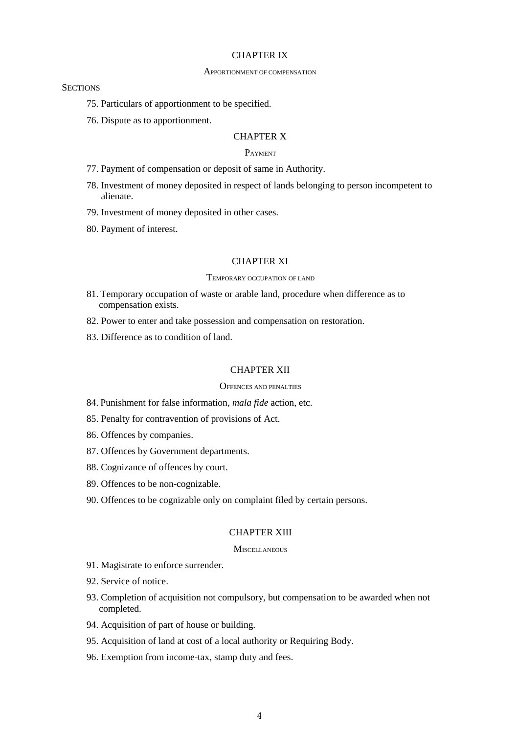### CHAPTER IX

#### APPORTIONMENT OF COMPENSATION

#### **SECTIONS**

- 75. Particulars of apportionment to be specified.
- 76. Dispute as to apportionment.

### CHAPTER X

## PAYMENT

- 77. Payment of compensation or deposit of same in Authority.
- 78. Investment of money deposited in respect of lands belonging to person incompetent to alienate.
- 79. Investment of money deposited in other cases.
- 80. Payment of interest.

### CHAPTER XI

#### TEMPORARY OCCUPATION OF LAND

- 81. Temporary occupation of waste or arable land, procedure when difference as to compensation exists.
- 82. Power to enter and take possession and compensation on restoration.
- 83. Difference as to condition of land.

### CHAPTER XII

### OFFENCES AND PENALTIES

- 84. Punishment for false information, *mala fide* action, etc.
- 85. Penalty for contravention of provisions of Act.
- 86. Offences by companies.
- 87. Offences by Government departments.
- 88. Cognizance of offences by court.
- 89. Offences to be non-cognizable.
- 90. Offences to be cognizable only on complaint filed by certain persons.

## CHAPTER XIII

### **MISCELLANEOUS**

- 91. Magistrate to enforce surrender.
- 92. Service of notice.
- 93. Completion of acquisition not compulsory, but compensation to be awarded when not completed.
- 94. Acquisition of part of house or building.
- 95. Acquisition of land at cost of a local authority or Requiring Body.
- 96. Exemption from income-tax, stamp duty and fees.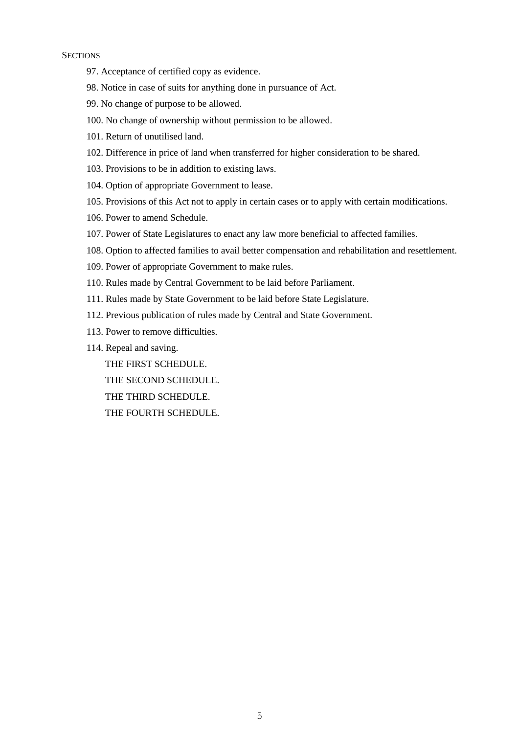### **SECTIONS**

- 97. Acceptance of certified copy as evidence.
- 98. Notice in case of suits for anything done in pursuance of Act.
- 99. No change of purpose to be allowed.
- 100. No change of ownership without permission to be allowed.
- 101. Return of unutilised land.
- 102. Difference in price of land when transferred for higher consideration to be shared.
- 103. Provisions to be in addition to existing laws.
- 104. Option of appropriate Government to lease.
- 105. Provisions of this Act not to apply in certain cases or to apply with certain modifications.
- 106. Power to amend Schedule.
- 107. Power of State Legislatures to enact any law more beneficial to affected families.
- 108. Option to affected families to avail better compensation and rehabilitation and resettlement.
- 109. Power of appropriate Government to make rules.
- 110. Rules made by Central Government to be laid before Parliament.
- 111. Rules made by State Government to be laid before State Legislature.
- 112. Previous publication of rules made by Central and State Government.
- 113. Power to remove difficulties.
- 114. Repeal and saving.
	- THE FIRST SCHEDULE.
	- THE SECOND SCHEDULE.
	- THE THIRD SCHEDULE.
	- THE FOURTH SCHEDULE.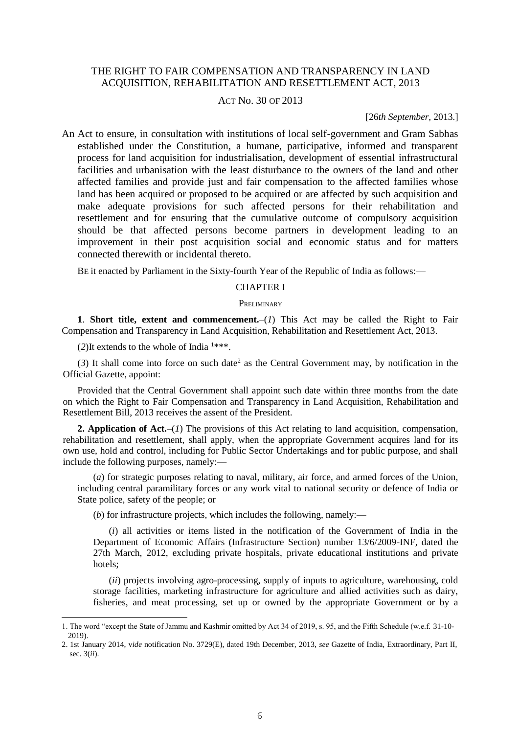## THE RIGHT TO FAIR COMPENSATION AND TRANSPARENCY IN LAND ACQUISITION, REHABILITATION AND RESETTLEMENT ACT, 2013

### ACT No. 30 OF 2013

#### [26*th September,* 2013.]

An Act to ensure, in consultation with institutions of local self-government and Gram Sabhas established under the Constitution, a humane, participative, informed and transparent process for land acquisition for industrialisation, development of essential infrastructural facilities and urbanisation with the least disturbance to the owners of the land and other affected families and provide just and fair compensation to the affected families whose land has been acquired or proposed to be acquired or are affected by such acquisition and make adequate provisions for such affected persons for their rehabilitation and resettlement and for ensuring that the cumulative outcome of compulsory acquisition should be that affected persons become partners in development leading to an improvement in their post acquisition social and economic status and for matters connected therewith or incidental thereto.

BE it enacted by Parliament in the Sixty-fourth Year of the Republic of India as follows:—

#### CHAPTER I

#### **PRELIMINARY**

**1**. **Short title, extent and commencement.**–(*1*) This Act may be called the Right to Fair Compensation and Transparency in Land Acquisition, Rehabilitation and Resettlement Act, 2013.

(2)It extends to the whole of India  $1***$ .

 $\overline{\phantom{a}}$ 

 $(3)$  It shall come into force on such date<sup>2</sup> as the Central Government may, by notification in the Official Gazette, appoint:

Provided that the Central Government shall appoint such date within three months from the date on which the Right to Fair Compensation and Transparency in Land Acquisition, Rehabilitation and Resettlement Bill, 2013 receives the assent of the President.

**2. Application of Act.**–(*1*) The provisions of this Act relating to land acquisition, compensation, rehabilitation and resettlement, shall apply, when the appropriate Government acquires land for its own use, hold and control, including for Public Sector Undertakings and for public purpose, and shall include the following purposes, namely:—

(*a*) for strategic purposes relating to naval, military, air force, and armed forces of the Union, including central paramilitary forces or any work vital to national security or defence of India or State police, safety of the people; or

(*b*) for infrastructure projects, which includes the following, namely:—

(*i*) all activities or items listed in the notification of the Government of India in the Department of Economic Affairs (Infrastructure Section) number 13/6/2009-INF, dated the 27th March, 2012, excluding private hospitals, private educational institutions and private hotels;

(*ii*) projects involving agro-processing, supply of inputs to agriculture, warehousing, cold storage facilities, marketing infrastructure for agriculture and allied activities such as dairy, fisheries, and meat processing, set up or owned by the appropriate Government or by a

<sup>1.</sup> The word "except the State of Jammu and Kashmir omitted by Act 34 of 2019, s. 95, and the Fifth Schedule (w.e.f. 31-10- 2019).

<sup>2. 1</sup>st January 2014, v*ide* notification No. 3729(E), dated 19th December, 2013, *see* Gazette of India, Extraordinary, Part II, sec. 3(*ii*).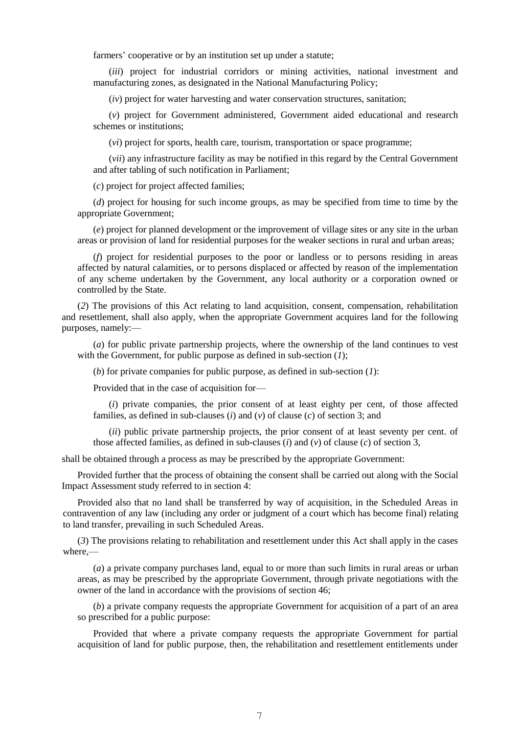farmers' cooperative or by an institution set up under a statute;

(*iii*) project for industrial corridors or mining activities, national investment and manufacturing zones, as designated in the National Manufacturing Policy;

(*iv*) project for water harvesting and water conservation structures, sanitation;

(*v*) project for Government administered, Government aided educational and research schemes or institutions;

(*vi*) project for sports, health care, tourism, transportation or space programme;

(*vii*) any infrastructure facility as may be notified in this regard by the Central Government and after tabling of such notification in Parliament;

(*c*) project for project affected families;

(*d*) project for housing for such income groups, as may be specified from time to time by the appropriate Government;

(*e*) project for planned development or the improvement of village sites or any site in the urban areas or provision of land for residential purposes for the weaker sections in rural and urban areas;

(*f*) project for residential purposes to the poor or landless or to persons residing in areas affected by natural calamities, or to persons displaced or affected by reason of the implementation of any scheme undertaken by the Government, any local authority or a corporation owned or controlled by the State.

(*2*) The provisions of this Act relating to land acquisition, consent, compensation, rehabilitation and resettlement, shall also apply, when the appropriate Government acquires land for the following purposes, namely:—

(*a*) for public private partnership projects, where the ownership of the land continues to vest with the Government, for public purpose as defined in sub-section (*1*);

(*b*) for private companies for public purpose, as defined in sub-section (*1*):

Provided that in the case of acquisition for—

(*i*) private companies, the prior consent of at least eighty per cent, of those affected families, as defined in sub-clauses (*i*) and (*v*) of clause (*c*) of section 3; and

(*ii*) public private partnership projects, the prior consent of at least seventy per cent. of those affected families, as defined in sub-clauses (*i*) and (*v*) of clause (*c*) of section 3,

shall be obtained through a process as may be prescribed by the appropriate Government:

Provided further that the process of obtaining the consent shall be carried out along with the Social Impact Assessment study referred to in section 4:

Provided also that no land shall be transferred by way of acquisition, in the Scheduled Areas in contravention of any law (including any order or judgment of a court which has become final) relating to land transfer, prevailing in such Scheduled Areas.

(*3*) The provisions relating to rehabilitation and resettlement under this Act shall apply in the cases where,—

(*a*) a private company purchases land, equal to or more than such limits in rural areas or urban areas, as may be prescribed by the appropriate Government, through private negotiations with the owner of the land in accordance with the provisions of section 46;

(*b*) a private company requests the appropriate Government for acquisition of a part of an area so prescribed for a public purpose:

Provided that where a private company requests the appropriate Government for partial acquisition of land for public purpose, then, the rehabilitation and resettlement entitlements under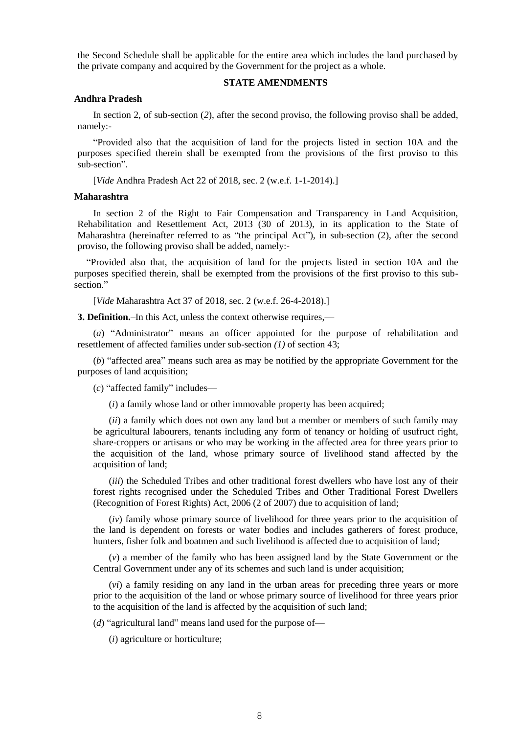the Second Schedule shall be applicable for the entire area which includes the land purchased by the private company and acquired by the Government for the project as a whole.

### **STATE AMENDMENTS**

#### **Andhra Pradesh**

In section 2, of sub-section (*2*), after the second proviso, the following proviso shall be added, namely:-

"Provided also that the acquisition of land for the projects listed in section 10A and the purposes specified therein shall be exempted from the provisions of the first proviso to this sub-section".

[*Vide* Andhra Pradesh Act 22 of 2018, sec. 2 (w.e.f. 1-1-2014).]

### **Maharashtra**

In section 2 of the Right to Fair Compensation and Transparency in Land Acquisition, Rehabilitation and Resettlement Act, 2013 (30 of 2013), in its application to the State of Maharashtra (hereinafter referred to as "the principal Act"), in sub-section (2), after the second proviso, the following proviso shall be added, namely:-

"Provided also that, the acquisition of land for the projects listed in section 10A and the purposes specified therein, shall be exempted from the provisions of the first proviso to this subsection<sup>"</sup>

[*Vide* Maharashtra Act 37 of 2018, sec. 2 (w.e.f. 26-4-2018).]

**3. Definition.**–In this Act, unless the context otherwise requires,—

(*a*) "Administrator" means an officer appointed for the purpose of rehabilitation and resettlement of affected families under sub-section *(1)* of section 43;

(*b*) "affected area" means such area as may be notified by the appropriate Government for the purposes of land acquisition;

(*c*) "affected family" includes—

(*i*) a family whose land or other immovable property has been acquired;

(*ii*) a family which does not own any land but a member or members of such family may be agricultural labourers, tenants including any form of tenancy or holding of usufruct right, share-croppers or artisans or who may be working in the affected area for three years prior to the acquisition of the land, whose primary source of livelihood stand affected by the acquisition of land;

(*iii*) the Scheduled Tribes and other traditional forest dwellers who have lost any of their forest rights recognised under the Scheduled Tribes and Other Traditional Forest Dwellers (Recognition of Forest Rights) Act, 2006 (2 of 2007) due to acquisition of land;

(*iv*) family whose primary source of livelihood for three years prior to the acquisition of the land is dependent on forests or water bodies and includes gatherers of forest produce, hunters, fisher folk and boatmen and such livelihood is affected due to acquisition of land;

(*v*) a member of the family who has been assigned land by the State Government or the Central Government under any of its schemes and such land is under acquisition;

(*vi*) a family residing on any land in the urban areas for preceding three years or more prior to the acquisition of the land or whose primary source of livelihood for three years prior to the acquisition of the land is affected by the acquisition of such land;

(*d*) "agricultural land" means land used for the purpose of—

(*i*) agriculture or horticulture;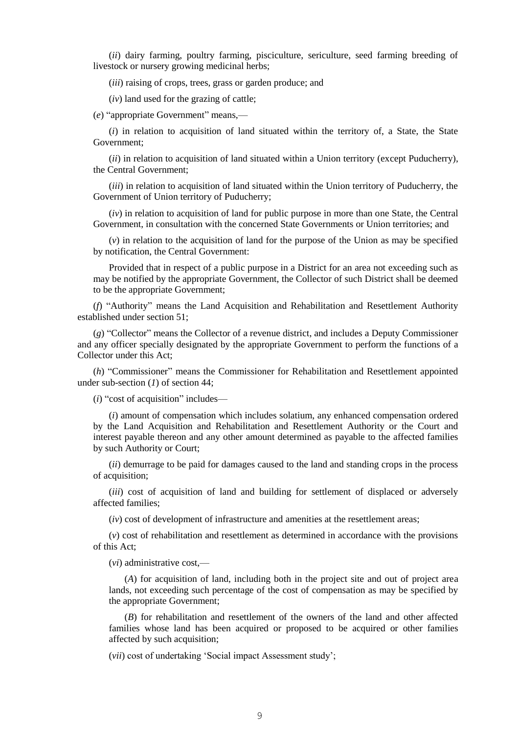(*ii*) dairy farming, poultry farming, pisciculture, sericulture, seed farming breeding of livestock or nursery growing medicinal herbs;

(*iii*) raising of crops, trees, grass or garden produce; and

(*iv*) land used for the grazing of cattle;

(*e*) "appropriate Government" means,—

(*i*) in relation to acquisition of land situated within the territory of, a State, the State Government;

(*ii*) in relation to acquisition of land situated within a Union territory (except Puducherry), the Central Government;

(*iii*) in relation to acquisition of land situated within the Union territory of Puducherry, the Government of Union territory of Puducherry;

(*iv*) in relation to acquisition of land for public purpose in more than one State, the Central Government, in consultation with the concerned State Governments or Union territories; and

(*v*) in relation to the acquisition of land for the purpose of the Union as may be specified by notification, the Central Government:

Provided that in respect of a public purpose in a District for an area not exceeding such as may be notified by the appropriate Government, the Collector of such District shall be deemed to be the appropriate Government;

(*f*) "Authority" means the Land Acquisition and Rehabilitation and Resettlement Authority established under section 51;

(*g*) "Collector" means the Collector of a revenue district, and includes a Deputy Commissioner and any officer specially designated by the appropriate Government to perform the functions of a Collector under this Act;

(*h*) "Commissioner" means the Commissioner for Rehabilitation and Resettlement appointed under sub-section (*1*) of section 44;

(*i*) "cost of acquisition" includes—

(*i*) amount of compensation which includes solatium, any enhanced compensation ordered by the Land Acquisition and Rehabilitation and Resettlement Authority or the Court and interest payable thereon and any other amount determined as payable to the affected families by such Authority or Court;

(*ii*) demurrage to be paid for damages caused to the land and standing crops in the process of acquisition;

(*iii*) cost of acquisition of land and building for settlement of displaced or adversely affected families;

(*iv*) cost of development of infrastructure and amenities at the resettlement areas;

(*v*) cost of rehabilitation and resettlement as determined in accordance with the provisions of this Act;

(*vi*) administrative cost,—

(*A*) for acquisition of land, including both in the project site and out of project area lands, not exceeding such percentage of the cost of compensation as may be specified by the appropriate Government;

(*B*) for rehabilitation and resettlement of the owners of the land and other affected families whose land has been acquired or proposed to be acquired or other families affected by such acquisition;

(*vii*) cost of undertaking 'Social impact Assessment study';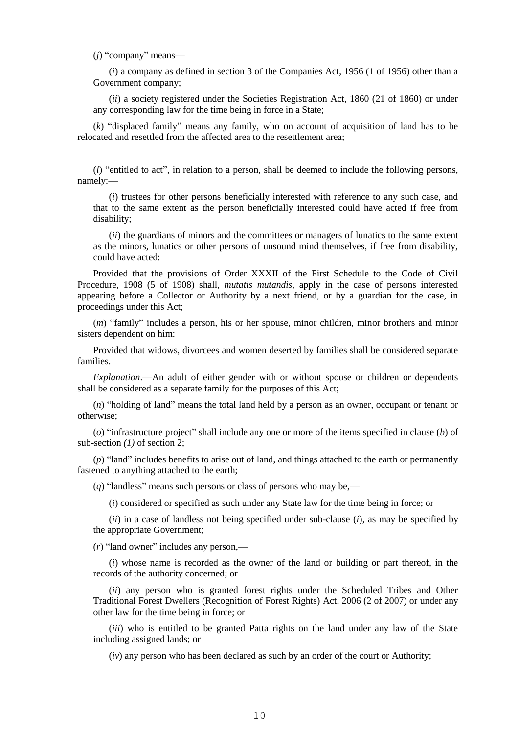(*j*) "company" means—

(*i*) a company as defined in section 3 of the Companies Act, 1956 (1 of 1956) other than a Government company;

(*ii*) a society registered under the Societies Registration Act, 1860 (21 of 1860) or under any corresponding law for the time being in force in a State;

(*k*) "displaced family" means any family, who on account of acquisition of land has to be relocated and resettled from the affected area to the resettlement area;

(*l*) "entitled to act", in relation to a person, shall be deemed to include the following persons, namely:—

(*i*) trustees for other persons beneficially interested with reference to any such case, and that to the same extent as the person beneficially interested could have acted if free from disability;

(*ii*) the guardians of minors and the committees or managers of lunatics to the same extent as the minors, lunatics or other persons of unsound mind themselves, if free from disability, could have acted:

Provided that the provisions of Order XXXII of the First Schedule to the Code of Civil Procedure, 1908 (5 of 1908) shall, *mutatis mutandis*, apply in the case of persons interested appearing before a Collector or Authority by a next friend, or by a guardian for the case, in proceedings under this Act;

(*m*) "family" includes a person, his or her spouse, minor children, minor brothers and minor sisters dependent on him:

Provided that widows, divorcees and women deserted by families shall be considered separate families.

*Explanation*.—An adult of either gender with or without spouse or children or dependents shall be considered as a separate family for the purposes of this Act;

(*n*) "holding of land" means the total land held by a person as an owner, occupant or tenant or otherwise;

(*o*) "infrastructure project" shall include any one or more of the items specified in clause (*b*) of sub-section *(1)* of section 2;

(*p*) "land" includes benefits to arise out of land, and things attached to the earth or permanently fastened to anything attached to the earth;

(*q*) "landless" means such persons or class of persons who may be,—

(*i*) considered or specified as such under any State law for the time being in force; or

(*ii*) in a case of landless not being specified under sub-clause (*i*), as may be specified by the appropriate Government;

(*r*) "land owner" includes any person,—

(*i*) whose name is recorded as the owner of the land or building or part thereof, in the records of the authority concerned; or

(*ii*) any person who is granted forest rights under the Scheduled Tribes and Other Traditional Forest Dwellers (Recognition of Forest Rights) Act, 2006 (2 of 2007) or under any other law for the time being in force; or

(*iii*) who is entitled to be granted Patta rights on the land under any law of the State including assigned lands; or

(*iv*) any person who has been declared as such by an order of the court or Authority;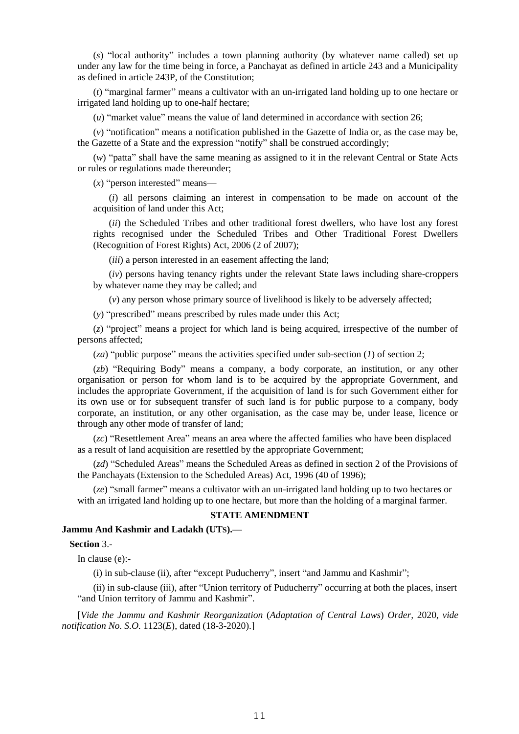(*s*) "local authority" includes a town planning authority (by whatever name called) set up under any law for the time being in force, a Panchayat as defined in article 243 and a Municipality as defined in article 243P, of the Constitution;

(*t*) "marginal farmer" means a cultivator with an un-irrigated land holding up to one hectare or irrigated land holding up to one-half hectare;

(*u*) "market value" means the value of land determined in accordance with section 26;

(*v*) "notification" means a notification published in the Gazette of India or, as the case may be, the Gazette of a State and the expression "notify" shall be construed accordingly;

(*w*) "patta" shall have the same meaning as assigned to it in the relevant Central or State Acts or rules or regulations made thereunder;

(*x*) "person interested" means—

(*i*) all persons claiming an interest in compensation to be made on account of the acquisition of land under this Act;

(*ii*) the Scheduled Tribes and other traditional forest dwellers, who have lost any forest rights recognised under the Scheduled Tribes and Other Traditional Forest Dwellers (Recognition of Forest Rights) Act, 2006 (2 of 2007);

(*iii*) a person interested in an easement affecting the land;

(*iv*) persons having tenancy rights under the relevant State laws including share-croppers by whatever name they may be called; and

(*v*) any person whose primary source of livelihood is likely to be adversely affected;

(*y*) "prescribed" means prescribed by rules made under this Act;

(*z*) "project" means a project for which land is being acquired, irrespective of the number of persons affected;

(*za*) "public purpose" means the activities specified under sub-section (*1*) of section 2;

(*zb*) "Requiring Body" means a company, a body corporate, an institution, or any other organisation or person for whom land is to be acquired by the appropriate Government, and includes the appropriate Government, if the acquisition of land is for such Government either for its own use or for subsequent transfer of such land is for public purpose to a company, body corporate, an institution, or any other organisation, as the case may be, under lease, licence or through any other mode of transfer of land;

(*zc*) "Resettlement Area" means an area where the affected families who have been displaced as a result of land acquisition are resettled by the appropriate Government;

(*zd*) "Scheduled Areas" means the Scheduled Areas as defined in section 2 of the Provisions of the Panchayats (Extension to the Scheduled Areas) Act, 1996 (40 of 1996);

(*ze*) "small farmer" means a cultivator with an un-irrigated land holding up to two hectares or with an irrigated land holding up to one hectare, but more than the holding of a marginal farmer.

#### **STATE AMENDMENT**

## **Jammu And Kashmir and Ladakh (UTS).—**

**Section** 3.-

In clause (e):-

(i) in sub-clause (ii), after "except Puducherry", insert "and Jammu and Kashmir";

(ii) in sub-clause (iii), after "Union territory of Puducherry" occurring at both the places, insert "and Union territory of Jammu and Kashmir".

[*Vide the Jammu and Kashmir Reorganization* (*Adaptation of Central Laws*) *Order,* 2020, *vide notification No. S.O.* 1123(*E*), dated (18-3-2020).]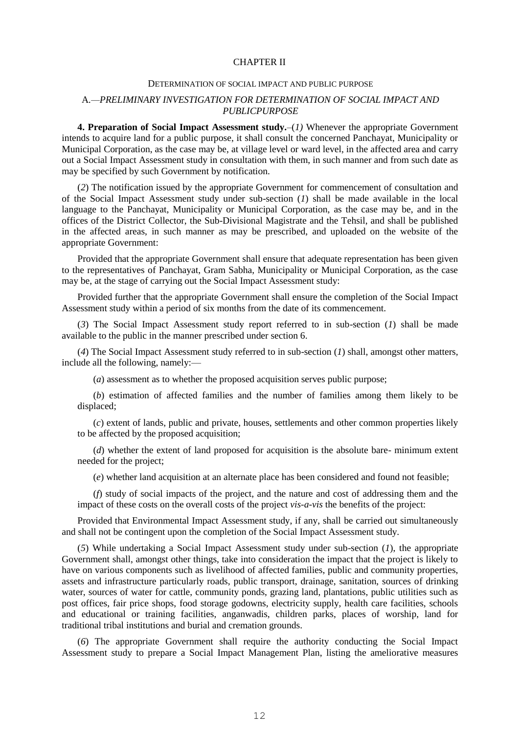### CHAPTER II

#### DETERMINATION OF SOCIAL IMPACT AND PUBLIC PURPOSE

### A*.—PRELIMINARY INVESTIGATION FOR DETERMINATION OF SOCIAL IMPACT AND PUBLICPURPOSE*

**4. Preparation of Social Impact Assessment study.**–(*1)* Whenever the appropriate Government intends to acquire land for a public purpose, it shall consult the concerned Panchayat, Municipality or Municipal Corporation, as the case may be, at village level or ward level, in the affected area and carry out a Social Impact Assessment study in consultation with them, in such manner and from such date as may be specified by such Government by notification.

(*2*) The notification issued by the appropriate Government for commencement of consultation and of the Social Impact Assessment study under sub-section (*1*) shall be made available in the local language to the Panchayat, Municipality or Municipal Corporation, as the case may be, and in the offices of the District Collector, the Sub-Divisional Magistrate and the Tehsil, and shall be published in the affected areas, in such manner as may be prescribed, and uploaded on the website of the appropriate Government:

Provided that the appropriate Government shall ensure that adequate representation has been given to the representatives of Panchayat, Gram Sabha, Municipality or Municipal Corporation, as the case may be, at the stage of carrying out the Social Impact Assessment study:

Provided further that the appropriate Government shall ensure the completion of the Social Impact Assessment study within a period of six months from the date of its commencement.

(*3*) The Social Impact Assessment study report referred to in sub-section (*1*) shall be made available to the public in the manner prescribed under section 6.

(*4*) The Social Impact Assessment study referred to in sub-section (*1*) shall, amongst other matters, include all the following, namely:—

(*a*) assessment as to whether the proposed acquisition serves public purpose;

(*b*) estimation of affected families and the number of families among them likely to be displaced;

(*c*) extent of lands, public and private, houses, settlements and other common properties likely to be affected by the proposed acquisition;

(*d*) whether the extent of land proposed for acquisition is the absolute bare- minimum extent needed for the project;

(*e*) whether land acquisition at an alternate place has been considered and found not feasible;

(*f*) study of social impacts of the project, and the nature and cost of addressing them and the impact of these costs on the overall costs of the project *vis-a-vis* the benefits of the project:

Provided that Environmental Impact Assessment study, if any, shall be carried out simultaneously and shall not be contingent upon the completion of the Social Impact Assessment study.

(*5*) While undertaking a Social Impact Assessment study under sub-section (*1*), the appropriate Government shall, amongst other things, take into consideration the impact that the project is likely to have on various components such as livelihood of affected families, public and community properties, assets and infrastructure particularly roads, public transport, drainage, sanitation, sources of drinking water, sources of water for cattle, community ponds, grazing land, plantations, public utilities such as post offices, fair price shops, food storage godowns, electricity supply, health care facilities, schools and educational or training facilities, anganwadis, children parks, places of worship, land for traditional tribal institutions and burial and cremation grounds.

(*6*) The appropriate Government shall require the authority conducting the Social Impact Assessment study to prepare a Social Impact Management Plan, listing the ameliorative measures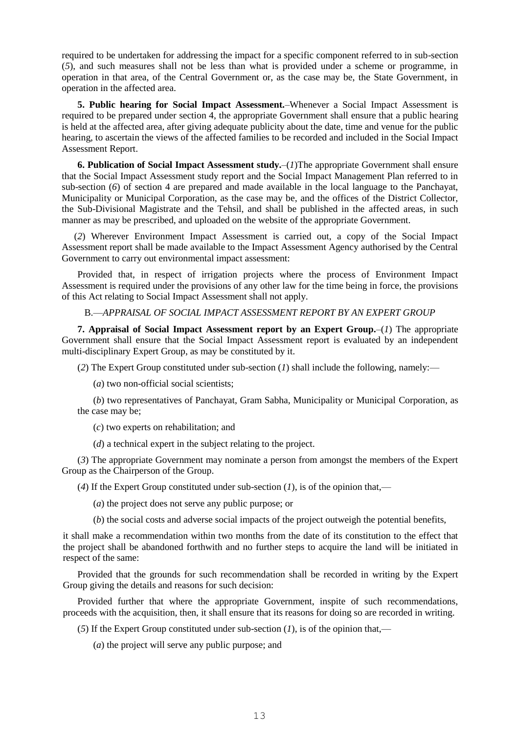required to be undertaken for addressing the impact for a specific component referred to in sub-section (*5*), and such measures shall not be less than what is provided under a scheme or programme, in operation in that area, of the Central Government or, as the case may be, the State Government, in operation in the affected area.

**5. Public hearing for Social Impact Assessment***.–*Whenever a Social Impact Assessment is required to be prepared under section 4, the appropriate Government shall ensure that a public hearing is held at the affected area, after giving adequate publicity about the date, time and venue for the public hearing, to ascertain the views of the affected families to be recorded and included in the Social Impact Assessment Report.

**6. Publication of Social Impact Assessment study.**–(*1*)The appropriate Government shall ensure that the Social Impact Assessment study report and the Social Impact Management Plan referred to in sub-section (*6*) of section 4 are prepared and made available in the local language to the Panchayat, Municipality or Municipal Corporation, as the case may be, and the offices of the District Collector, the Sub-Divisional Magistrate and the Tehsil, and shall be published in the affected areas, in such manner as may be prescribed, and uploaded on the website of the appropriate Government.

(*2*) Wherever Environment Impact Assessment is carried out, a copy of the Social Impact Assessment report shall be made available to the Impact Assessment Agency authorised by the Central Government to carry out environmental impact assessment:

Provided that, in respect of irrigation projects where the process of Environment Impact Assessment is required under the provisions of any other law for the time being in force, the provisions of this Act relating to Social Impact Assessment shall not apply.

B.—*APPRAISAL OF SOCIAL IMPACT ASSESSMENT REPORT BY AN EXPERT GROUP*

**7. Appraisal of Social Impact Assessment report by an Expert Group.**–(*1*) The appropriate Government shall ensure that the Social Impact Assessment report is evaluated by an independent multi-disciplinary Expert Group, as may be constituted by it.

(*2*) The Expert Group constituted under sub-section (*1*) shall include the following, namely:—

(*a*) two non-official social scientists;

(*b*) two representatives of Panchayat, Gram Sabha, Municipality or Municipal Corporation, as the case may be;

(*c*) two experts on rehabilitation; and

(*d*) a technical expert in the subject relating to the project.

(*3*) The appropriate Government may nominate a person from amongst the members of the Expert Group as the Chairperson of the Group.

(4) If the Expert Group constituted under sub-section  $(1)$ , is of the opinion that,—

(*a*) the project does not serve any public purpose; or

(*b*) the social costs and adverse social impacts of the project outweigh the potential benefits,

it shall make a recommendation within two months from the date of its constitution to the effect that the project shall be abandoned forthwith and no further steps to acquire the land will be initiated in respect of the same:

Provided that the grounds for such recommendation shall be recorded in writing by the Expert Group giving the details and reasons for such decision:

Provided further that where the appropriate Government, inspite of such recommendations, proceeds with the acquisition, then, it shall ensure that its reasons for doing so are recorded in writing.

(5) If the Expert Group constituted under sub-section  $(1)$ , is of the opinion that,—

(*a*) the project will serve any public purpose; and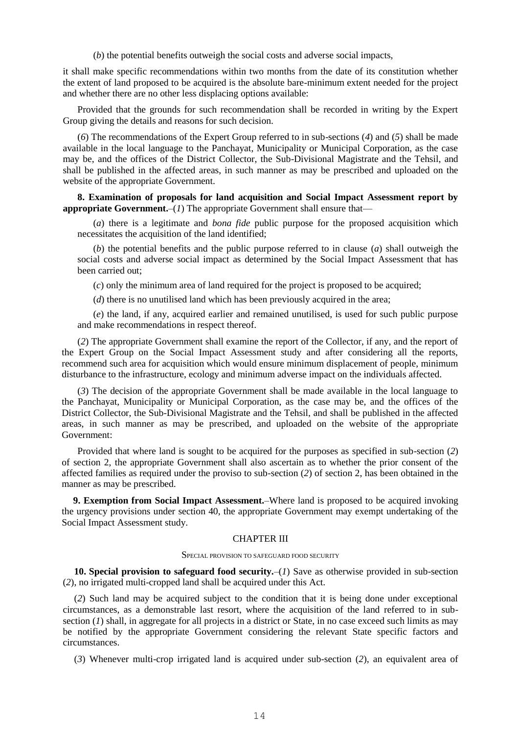(*b*) the potential benefits outweigh the social costs and adverse social impacts,

it shall make specific recommendations within two months from the date of its constitution whether the extent of land proposed to be acquired is the absolute bare-minimum extent needed for the project and whether there are no other less displacing options available:

Provided that the grounds for such recommendation shall be recorded in writing by the Expert Group giving the details and reasons for such decision.

(*6*) The recommendations of the Expert Group referred to in sub-sections (*4*) and (*5*) shall be made available in the local language to the Panchayat, Municipality or Municipal Corporation, as the case may be, and the offices of the District Collector, the Sub-Divisional Magistrate and the Tehsil, and shall be published in the affected areas, in such manner as may be prescribed and uploaded on the website of the appropriate Government.

**8. Examination of proposals for land acquisition and Social Impact Assessment report by appropriate Government.**–( $I$ ) The appropriate Government shall ensure that—

(*a*) there is a legitimate and *bona fide* public purpose for the proposed acquisition which necessitates the acquisition of the land identified;

(*b*) the potential benefits and the public purpose referred to in clause (*a*) shall outweigh the social costs and adverse social impact as determined by the Social Impact Assessment that has been carried out;

(*c*) only the minimum area of land required for the project is proposed to be acquired;

(*d*) there is no unutilised land which has been previously acquired in the area;

(*e*) the land, if any, acquired earlier and remained unutilised, is used for such public purpose and make recommendations in respect thereof.

(*2*) The appropriate Government shall examine the report of the Collector, if any, and the report of the Expert Group on the Social Impact Assessment study and after considering all the reports, recommend such area for acquisition which would ensure minimum displacement of people, minimum disturbance to the infrastructure, ecology and minimum adverse impact on the individuals affected.

(*3*) The decision of the appropriate Government shall be made available in the local language to the Panchayat, Municipality or Municipal Corporation, as the case may be, and the offices of the District Collector, the Sub-Divisional Magistrate and the Tehsil, and shall be published in the affected areas, in such manner as may be prescribed, and uploaded on the website of the appropriate Government:

Provided that where land is sought to be acquired for the purposes as specified in sub-section (*2*) of section 2, the appropriate Government shall also ascertain as to whether the prior consent of the affected families as required under the proviso to sub-section (*2*) of section 2, has been obtained in the manner as may be prescribed.

**9. Exemption from Social Impact Assessment.**–Where land is proposed to be acquired invoking the urgency provisions under section 40, the appropriate Government may exempt undertaking of the Social Impact Assessment study.

### CHAPTER III

#### SPECIAL PROVISION TO SAFEGUARD FOOD SECURITY

**10. Special provision to safeguard food security.**–(*1*) Save as otherwise provided in sub-section (*2*), no irrigated multi-cropped land shall be acquired under this Act.

(*2*) Such land may be acquired subject to the condition that it is being done under exceptional circumstances, as a demonstrable last resort, where the acquisition of the land referred to in subsection (*1*) shall, in aggregate for all projects in a district or State, in no case exceed such limits as may be notified by the appropriate Government considering the relevant State specific factors and circumstances.

(*3*) Whenever multi-crop irrigated land is acquired under sub-section (*2*), an equivalent area of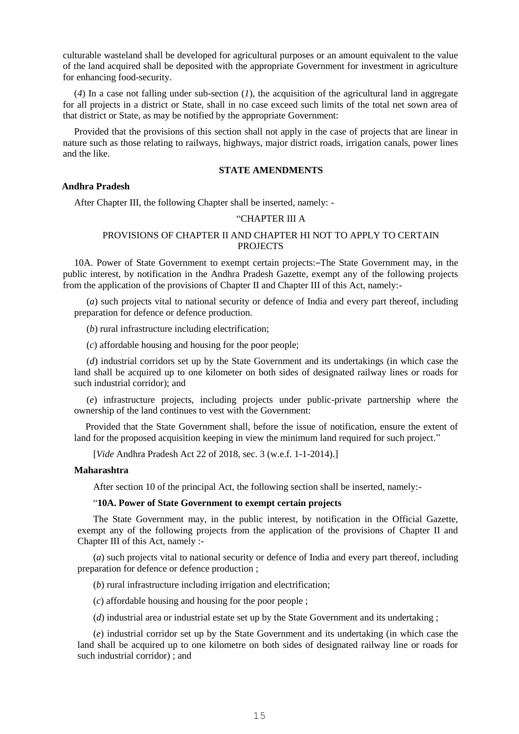culturable wasteland shall be developed for agricultural purposes or an amount equivalent to the value of the land acquired shall be deposited with the appropriate Government for investment in agriculture for enhancing food-security.

(*4*) In a case not falling under sub-section (*1*), the acquisition of the agricultural land in aggregate for all projects in a district or State, shall in no case exceed such limits of the total net sown area of that district or State, as may be notified by the appropriate Government:

Provided that the provisions of this section shall not apply in the case of projects that are linear in nature such as those relating to railways, highways, major district roads, irrigation canals, power lines and the like.

### **STATE AMENDMENTS**

### **Andhra Pradesh**

After Chapter III, the following Chapter shall be inserted, namely: -

## "CHAPTER III A

### PROVISIONS OF CHAPTER II AND CHAPTER HI NOT TO APPLY TO CERTAIN PROJECTS

10A. Power of State Government to exempt certain projects:–The State Government may, in the public interest, by notification in the Andhra Pradesh Gazette, exempt any of the following projects from the application of the provisions of Chapter II and Chapter III of this Act, namely:-

(*a*) such projects vital to national security or defence of India and every part thereof, including preparation for defence or defence production.

(*b*) rural infrastructure including electrification;

(*c*) affordable housing and housing for the poor people;

(*d*) industrial corridors set up by the State Government and its undertakings (in which case the land shall be acquired up to one kilometer on both sides of designated railway lines or roads for such industrial corridor); and

(*e*) infrastructure projects, including projects under public-private partnership where the ownership of the land continues to vest with the Government:

Provided that the State Government shall, before the issue of notification, ensure the extent of land for the proposed acquisition keeping in view the minimum land required for such project."

[*Vide* Andhra Pradesh Act 22 of 2018, sec. 3 (w.e.f. 1-1-2014).]

#### **Maharashtra**

After section 10 of the principal Act, the following section shall be inserted, namely:-

### "**10A. Power of State Government to exempt certain projects**

The State Government may, in the public interest, by notification in the Official Gazette, exempt any of the following projects from the application of the provisions of Chapter II and Chapter III of this Act, namely :-

(*a*) such projects vital to national security or defence of India and every part thereof, including preparation for defence or defence production ;

(*b*) rural infrastructure including irrigation and electrification;

(*c*) affordable housing and housing for the poor people ;

(*d*) industrial area or industrial estate set up by the State Government and its undertaking ;

(*e*) industrial corridor set up by the State Government and its undertaking (in which case the land shall be acquired up to one kilometre on both sides of designated railway line or roads for such industrial corridor) ; and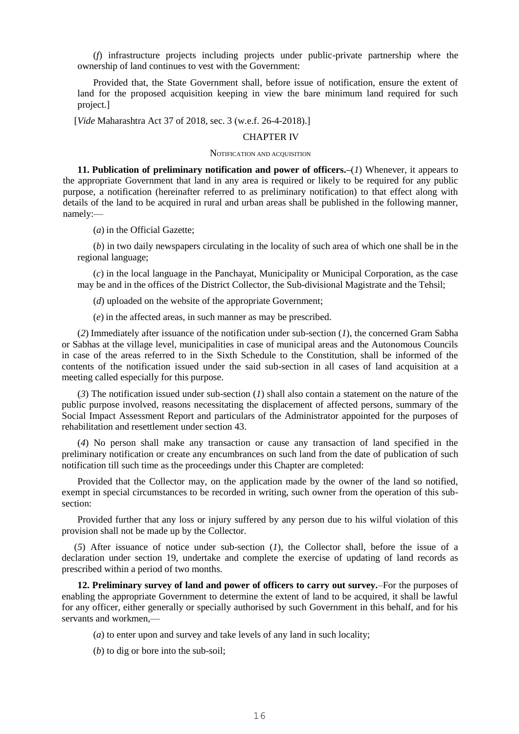(*f*) infrastructure projects including projects under public-private partnership where the ownership of land continues to vest with the Government:

Provided that, the State Government shall, before issue of notification, ensure the extent of land for the proposed acquisition keeping in view the bare minimum land required for such project.]

[*Vide* Maharashtra Act 37 of 2018, sec. 3 (w.e.f. 26-4-2018).]

#### CHAPTER IV

#### NOTIFICATION AND ACQUISITION

**11. Publication of preliminary notification and power of officers.–**(*1*) Whenever, it appears to the appropriate Government that land in any area is required or likely to be required for any public purpose, a notification (hereinafter referred to as preliminary notification) to that effect along with details of the land to be acquired in rural and urban areas shall be published in the following manner, namely:—

(*a*) in the Official Gazette;

(*b*) in two daily newspapers circulating in the locality of such area of which one shall be in the regional language;

(*c*) in the local language in the Panchayat, Municipality or Municipal Corporation, as the case may be and in the offices of the District Collector, the Sub-divisional Magistrate and the Tehsil;

(*d*) uploaded on the website of the appropriate Government;

(*e*) in the affected areas, in such manner as may be prescribed.

(*2*) Immediately after issuance of the notification under sub-section (*1*), the concerned Gram Sabha or Sabhas at the village level, municipalities in case of municipal areas and the Autonomous Councils in case of the areas referred to in the Sixth Schedule to the Constitution, shall be informed of the contents of the notification issued under the said sub-section in all cases of land acquisition at a meeting called especially for this purpose.

(*3*) The notification issued under sub-section (*1*) shall also contain a statement on the nature of the public purpose involved, reasons necessitating the displacement of affected persons, summary of the Social Impact Assessment Report and particulars of the Administrator appointed for the purposes of rehabilitation and resettlement under section 43.

(*4*) No person shall make any transaction or cause any transaction of land specified in the preliminary notification or create any encumbrances on such land from the date of publication of such notification till such time as the proceedings under this Chapter are completed:

Provided that the Collector may, on the application made by the owner of the land so notified, exempt in special circumstances to be recorded in writing, such owner from the operation of this subsection:

Provided further that any loss or injury suffered by any person due to his wilful violation of this provision shall not be made up by the Collector.

(*5*) After issuance of notice under sub-section (*1*), the Collector shall, before the issue of a declaration under section 19, undertake and complete the exercise of updating of land records as prescribed within a period of two months.

**12. Preliminary survey of land and power of officers to carry out survey.**–For the purposes of enabling the appropriate Government to determine the extent of land to be acquired, it shall be lawful for any officer, either generally or specially authorised by such Government in this behalf, and for his servants and workmen,—

(*a*) to enter upon and survey and take levels of any land in such locality;

(*b*) to dig or bore into the sub-soil;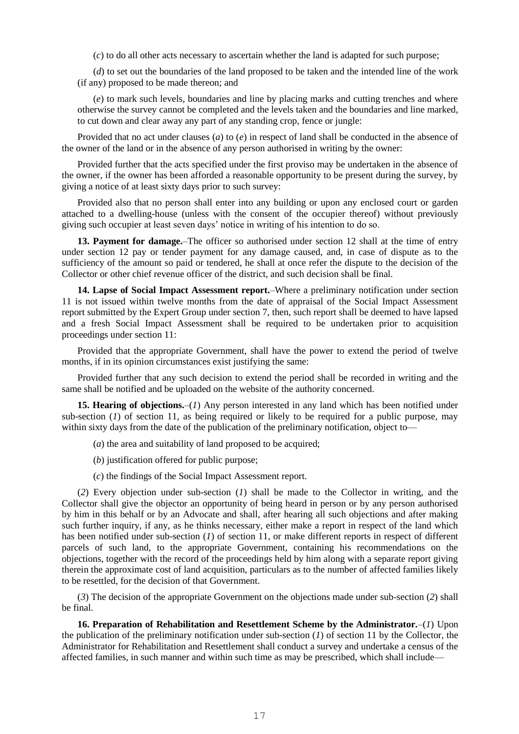(*c*) to do all other acts necessary to ascertain whether the land is adapted for such purpose;

(*d*) to set out the boundaries of the land proposed to be taken and the intended line of the work (if any) proposed to be made thereon; and

(*e*) to mark such levels, boundaries and line by placing marks and cutting trenches and where otherwise the survey cannot be completed and the levels taken and the boundaries and line marked, to cut down and clear away any part of any standing crop, fence or jungle:

Provided that no act under clauses (*a*) to (*e*) in respect of land shall be conducted in the absence of the owner of the land or in the absence of any person authorised in writing by the owner:

Provided further that the acts specified under the first proviso may be undertaken in the absence of the owner, if the owner has been afforded a reasonable opportunity to be present during the survey, by giving a notice of at least sixty days prior to such survey:

Provided also that no person shall enter into any building or upon any enclosed court or garden attached to a dwelling-house (unless with the consent of the occupier thereof) without previously giving such occupier at least seven days' notice in writing of his intention to do so.

**13. Payment for damage.**–The officer so authorised under section 12 shall at the time of entry under section 12 pay or tender payment for any damage caused, and, in case of dispute as to the sufficiency of the amount so paid or tendered, he shall at once refer the dispute to the decision of the Collector or other chief revenue officer of the district, and such decision shall be final.

**14. Lapse of Social Impact Assessment report.**–Where a preliminary notification under section 11 is not issued within twelve months from the date of appraisal of the Social Impact Assessment report submitted by the Expert Group under section 7, then, such report shall be deemed to have lapsed and a fresh Social Impact Assessment shall be required to be undertaken prior to acquisition proceedings under section 11:

Provided that the appropriate Government, shall have the power to extend the period of twelve months, if in its opinion circumstances exist justifying the same:

Provided further that any such decision to extend the period shall be recorded in writing and the same shall be notified and be uploaded on the website of the authority concerned.

**15. Hearing of objections.**–(*1*) Any person interested in any land which has been notified under sub-section (*1*) of section 11, as being required or likely to be required for a public purpose, may within sixty days from the date of the publication of the preliminary notification, object to—

(*a*) the area and suitability of land proposed to be acquired;

(*b*) justification offered for public purpose;

(*c*) the findings of the Social Impact Assessment report.

(*2*) Every objection under sub-section (*1*) shall be made to the Collector in writing, and the Collector shall give the objector an opportunity of being heard in person or by any person authorised by him in this behalf or by an Advocate and shall, after hearing all such objections and after making such further inquiry, if any, as he thinks necessary, either make a report in respect of the land which has been notified under sub-section (*1*) of section 11, or make different reports in respect of different parcels of such land, to the appropriate Government, containing his recommendations on the objections, together with the record of the proceedings held by him along with a separate report giving therein the approximate cost of land acquisition, particulars as to the number of affected families likely to be resettled, for the decision of that Government.

(*3*) The decision of the appropriate Government on the objections made under sub-section (*2*) shall be final.

**16. Preparation of Rehabilitation and Resettlement Scheme by the Administrator.**–(*1*) Upon the publication of the preliminary notification under sub-section (*1*) of section 11 by the Collector, the Administrator for Rehabilitation and Resettlement shall conduct a survey and undertake a census of the affected families, in such manner and within such time as may be prescribed, which shall include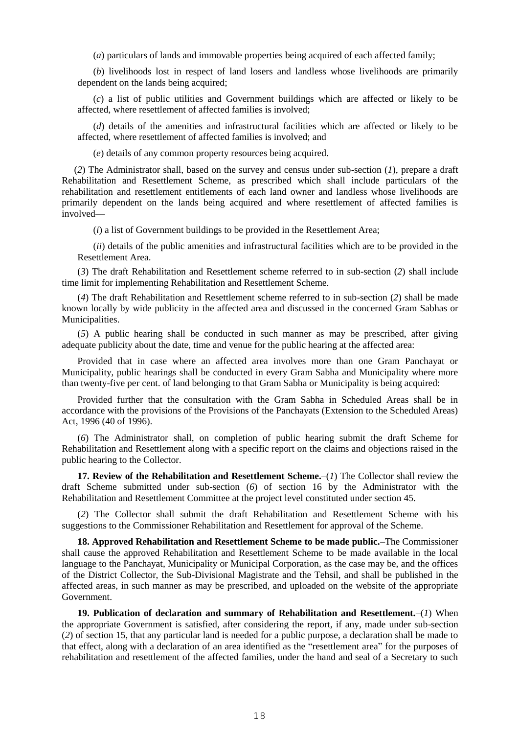(*a*) particulars of lands and immovable properties being acquired of each affected family;

(*b*) livelihoods lost in respect of land losers and landless whose livelihoods are primarily dependent on the lands being acquired;

(*c*) a list of public utilities and Government buildings which are affected or likely to be affected, where resettlement of affected families is involved;

(*d*) details of the amenities and infrastructural facilities which are affected or likely to be affected, where resettlement of affected families is involved; and

(*e*) details of any common property resources being acquired.

(*2*) The Administrator shall, based on the survey and census under sub-section (*1*), prepare a draft Rehabilitation and Resettlement Scheme, as prescribed which shall include particulars of the rehabilitation and resettlement entitlements of each land owner and landless whose livelihoods are primarily dependent on the lands being acquired and where resettlement of affected families is involved—

(*i*) a list of Government buildings to be provided in the Resettlement Area;

(*ii*) details of the public amenities and infrastructural facilities which are to be provided in the Resettlement Area.

(*3*) The draft Rehabilitation and Resettlement scheme referred to in sub-section (*2*) shall include time limit for implementing Rehabilitation and Resettlement Scheme.

(*4*) The draft Rehabilitation and Resettlement scheme referred to in sub-section (*2*) shall be made known locally by wide publicity in the affected area and discussed in the concerned Gram Sabhas or Municipalities.

(*5*) A public hearing shall be conducted in such manner as may be prescribed, after giving adequate publicity about the date, time and venue for the public hearing at the affected area:

Provided that in case where an affected area involves more than one Gram Panchayat or Municipality, public hearings shall be conducted in every Gram Sabha and Municipality where more than twenty-five per cent. of land belonging to that Gram Sabha or Municipality is being acquired:

Provided further that the consultation with the Gram Sabha in Scheduled Areas shall be in accordance with the provisions of the Provisions of the Panchayats (Extension to the Scheduled Areas) Act, 1996 (40 of 1996).

(*6*) The Administrator shall, on completion of public hearing submit the draft Scheme for Rehabilitation and Resettlement along with a specific report on the claims and objections raised in the public hearing to the Collector.

**17. Review of the Rehabilitation and Resettlement Scheme.**–(*1*) The Collector shall review the draft Scheme submitted under sub-section (*6*) of section 16 by the Administrator with the Rehabilitation and Resettlement Committee at the project level constituted under section 45.

(*2*) The Collector shall submit the draft Rehabilitation and Resettlement Scheme with his suggestions to the Commissioner Rehabilitation and Resettlement for approval of the Scheme.

**18. Approved Rehabilitation and Resettlement Scheme to be made public.**–The Commissioner shall cause the approved Rehabilitation and Resettlement Scheme to be made available in the local language to the Panchayat, Municipality or Municipal Corporation, as the case may be, and the offices of the District Collector, the Sub-Divisional Magistrate and the Tehsil, and shall be published in the affected areas, in such manner as may be prescribed, and uploaded on the website of the appropriate Government.

**19. Publication of declaration and summary of Rehabilitation and Resettlement.**–(*1*) When the appropriate Government is satisfied, after considering the report, if any, made under sub-section (*2*) of section 15, that any particular land is needed for a public purpose, a declaration shall be made to that effect, along with a declaration of an area identified as the "resettlement area" for the purposes of rehabilitation and resettlement of the affected families, under the hand and seal of a Secretary to such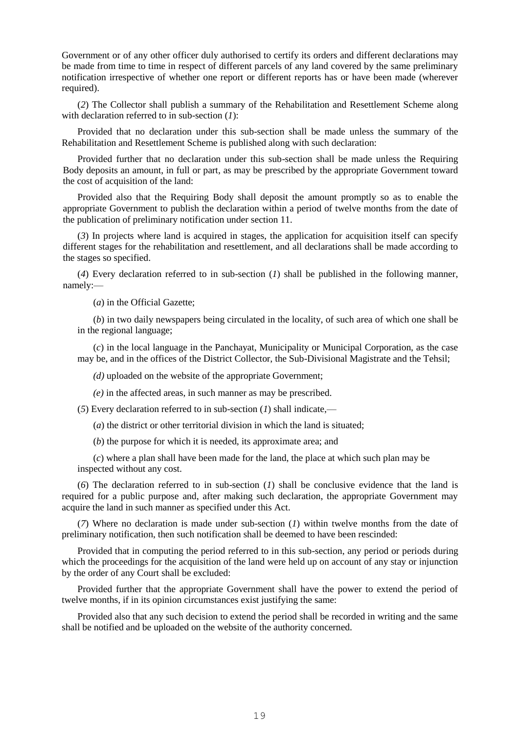Government or of any other officer duly authorised to certify its orders and different declarations may be made from time to time in respect of different parcels of any land covered by the same preliminary notification irrespective of whether one report or different reports has or have been made (wherever required).

(*2*) The Collector shall publish a summary of the Rehabilitation and Resettlement Scheme along with declaration referred to in sub-section (*1*):

Provided that no declaration under this sub-section shall be made unless the summary of the Rehabilitation and Resettlement Scheme is published along with such declaration:

Provided further that no declaration under this sub-section shall be made unless the Requiring Body deposits an amount, in full or part, as may be prescribed by the appropriate Government toward the cost of acquisition of the land:

Provided also that the Requiring Body shall deposit the amount promptly so as to enable the appropriate Government to publish the declaration within a period of twelve months from the date of the publication of preliminary notification under section 11.

(*3*) In projects where land is acquired in stages, the application for acquisition itself can specify different stages for the rehabilitation and resettlement, and all declarations shall be made according to the stages so specified.

(*4*) Every declaration referred to in sub-section (*1*) shall be published in the following manner, namely:—

(*a*) in the Official Gazette;

(*b*) in two daily newspapers being circulated in the locality, of such area of which one shall be in the regional language;

(*c*) in the local language in the Panchayat, Municipality or Municipal Corporation, as the case may be, and in the offices of the District Collector, the Sub-Divisional Magistrate and the Tehsil;

*(d)* uploaded on the website of the appropriate Government;

*(e)* in the affected areas, in such manner as may be prescribed.

(*5*) Every declaration referred to in sub-section (*1*) shall indicate,—

(*a*) the district or other territorial division in which the land is situated;

(*b*) the purpose for which it is needed, its approximate area; and

(*c*) where a plan shall have been made for the land, the place at which such plan may be inspected without any cost.

(*6*) The declaration referred to in sub-section (*1*) shall be conclusive evidence that the land is required for a public purpose and, after making such declaration, the appropriate Government may acquire the land in such manner as specified under this Act.

(*7*) Where no declaration is made under sub-section (*1*) within twelve months from the date of preliminary notification, then such notification shall be deemed to have been rescinded:

Provided that in computing the period referred to in this sub-section, any period or periods during which the proceedings for the acquisition of the land were held up on account of any stay or injunction by the order of any Court shall be excluded:

Provided further that the appropriate Government shall have the power to extend the period of twelve months, if in its opinion circumstances exist justifying the same:

Provided also that any such decision to extend the period shall be recorded in writing and the same shall be notified and be uploaded on the website of the authority concerned.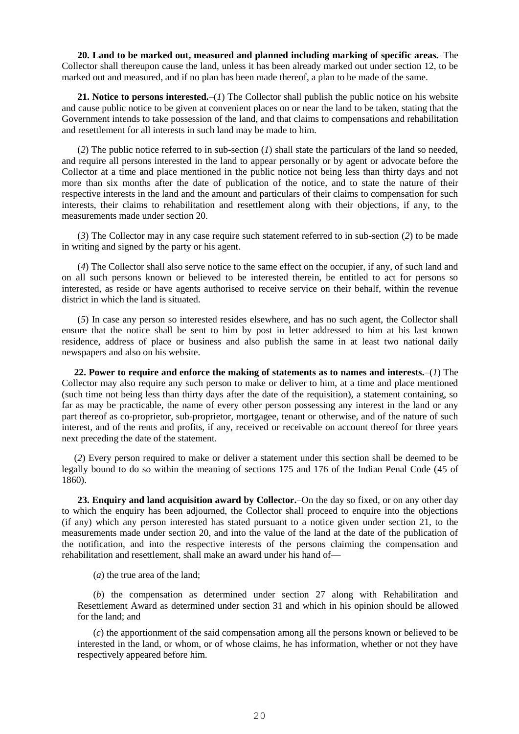**20. Land to be marked out, measured and planned including marking of specific areas.**–The Collector shall thereupon cause the land, unless it has been already marked out under section 12, to be marked out and measured, and if no plan has been made thereof, a plan to be made of the same.

**21. Notice to persons interested.**–(*1*) The Collector shall publish the public notice on his website and cause public notice to be given at convenient places on or near the land to be taken, stating that the Government intends to take possession of the land, and that claims to compensations and rehabilitation and resettlement for all interests in such land may be made to him.

(*2*) The public notice referred to in sub-section (*1*) shall state the particulars of the land so needed, and require all persons interested in the land to appear personally or by agent or advocate before the Collector at a time and place mentioned in the public notice not being less than thirty days and not more than six months after the date of publication of the notice, and to state the nature of their respective interests in the land and the amount and particulars of their claims to compensation for such interests, their claims to rehabilitation and resettlement along with their objections, if any, to the measurements made under section 20.

(*3*) The Collector may in any case require such statement referred to in sub-section (*2*) to be made in writing and signed by the party or his agent.

(*4*) The Collector shall also serve notice to the same effect on the occupier, if any, of such land and on all such persons known or believed to be interested therein, be entitled to act for persons so interested, as reside or have agents authorised to receive service on their behalf, within the revenue district in which the land is situated.

(*5*) In case any person so interested resides elsewhere, and has no such agent, the Collector shall ensure that the notice shall be sent to him by post in letter addressed to him at his last known residence, address of place or business and also publish the same in at least two national daily newspapers and also on his website.

**22. Power to require and enforce the making of statements as to names and interests.**–(*1*) The Collector may also require any such person to make or deliver to him, at a time and place mentioned (such time not being less than thirty days after the date of the requisition), a statement containing, so far as may be practicable, the name of every other person possessing any interest in the land or any part thereof as co-proprietor, sub-proprietor, mortgagee, tenant or otherwise, and of the nature of such interest, and of the rents and profits, if any, received or receivable on account thereof for three years next preceding the date of the statement.

(*2*) Every person required to make or deliver a statement under this section shall be deemed to be legally bound to do so within the meaning of sections 175 and 176 of the Indian Penal Code (45 of 1860).

**23. Enquiry and land acquisition award by Collector.**–On the day so fixed, or on any other day to which the enquiry has been adjourned, the Collector shall proceed to enquire into the objections (if any) which any person interested has stated pursuant to a notice given under section 21, to the measurements made under section 20, and into the value of the land at the date of the publication of the notification, and into the respective interests of the persons claiming the compensation and rehabilitation and resettlement, shall make an award under his hand of—

(*a*) the true area of the land;

(*b*) the compensation as determined under section 27 along with Rehabilitation and Resettlement Award as determined under section 31 and which in his opinion should be allowed for the land; and

(*c*) the apportionment of the said compensation among all the persons known or believed to be interested in the land, or whom, or of whose claims, he has information, whether or not they have respectively appeared before him.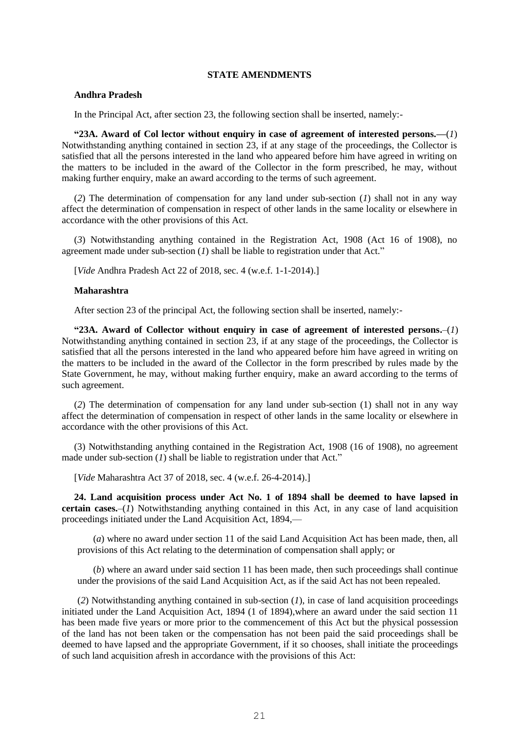### **STATE AMENDMENTS**

### **Andhra Pradesh**

In the Principal Act, after section 23, the following section shall be inserted, namely:-

**"23A. Award of Col lector without enquiry in case of agreement of interested persons.—**(*1*) Notwithstanding anything contained in section 23, if at any stage of the proceedings, the Collector is satisfied that all the persons interested in the land who appeared before him have agreed in writing on the matters to be included in the award of the Collector in the form prescribed, he may, without making further enquiry, make an award according to the terms of such agreement.

(*2*) The determination of compensation for any land under sub-section (*1*) shall not in any way affect the determination of compensation in respect of other lands in the same locality or elsewhere in accordance with the other provisions of this Act.

(*3*) Notwithstanding anything contained in the Registration Act, 1908 (Act 16 of 1908), no agreement made under sub-section (*1*) shall be liable to registration under that Act."

[*Vide* Andhra Pradesh Act 22 of 2018, sec. 4 (w.e.f. 1-1-2014).]

#### **Maharashtra**

After section 23 of the principal Act, the following section shall be inserted, namely:-

**"23A. Award of Collector without enquiry in case of agreement of interested persons.**–(*1*) Notwithstanding anything contained in section 23, if at any stage of the proceedings, the Collector is satisfied that all the persons interested in the land who appeared before him have agreed in writing on the matters to be included in the award of the Collector in the form prescribed by rules made by the State Government, he may, without making further enquiry, make an award according to the terms of such agreement.

(*2*) The determination of compensation for any land under sub-section (1) shall not in any way affect the determination of compensation in respect of other lands in the same locality or elsewhere in accordance with the other provisions of this Act.

(3) Notwithstanding anything contained in the Registration Act, 1908 (16 of 1908), no agreement made under sub-section (*1*) shall be liable to registration under that Act."

[*Vide* Maharashtra Act 37 of 2018, sec. 4 (w.e.f. 26-4-2014).]

**24. Land acquisition process under Act No. 1 of 1894 shall be deemed to have lapsed in certain cases.**–(*1*) Notwithstanding anything contained in this Act, in any case of land acquisition proceedings initiated under the Land Acquisition Act, 1894,—

(*a*) where no award under section 11 of the said Land Acquisition Act has been made, then, all provisions of this Act relating to the determination of compensation shall apply; or

(*b*) where an award under said section 11 has been made, then such proceedings shall continue under the provisions of the said Land Acquisition Act, as if the said Act has not been repealed.

(*2*) Notwithstanding anything contained in sub-section (*1*), in case of land acquisition proceedings initiated under the Land Acquisition Act, 1894 (1 of 1894),where an award under the said section 11 has been made five years or more prior to the commencement of this Act but the physical possession of the land has not been taken or the compensation has not been paid the said proceedings shall be deemed to have lapsed and the appropriate Government, if it so chooses, shall initiate the proceedings of such land acquisition afresh in accordance with the provisions of this Act: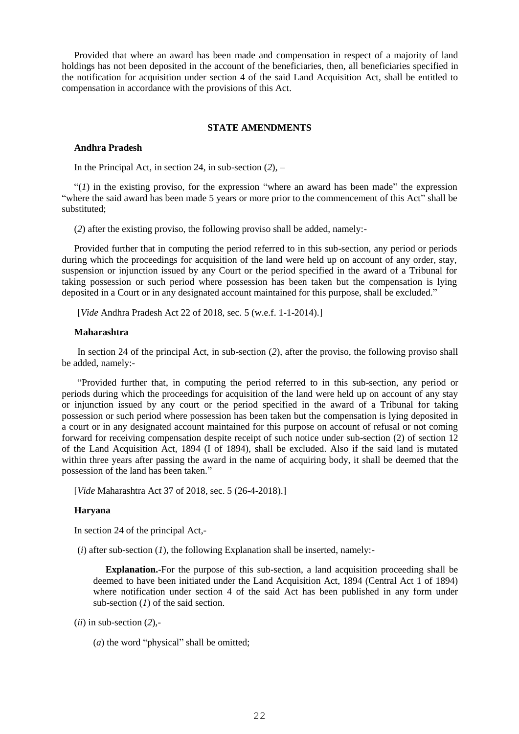Provided that where an award has been made and compensation in respect of a majority of land holdings has not been deposited in the account of the beneficiaries, then, all beneficiaries specified in the notification for acquisition under section 4 of the said Land Acquisition Act, shall be entitled to compensation in accordance with the provisions of this Act.

### **STATE AMENDMENTS**

### **Andhra Pradesh**

In the Principal Act, in section 24, in sub-section (*2*), –

" $(1)$  in the existing proviso, for the expression "where an award has been made" the expression "where the said award has been made 5 years or more prior to the commencement of this Act" shall be substituted;

(*2*) after the existing proviso, the following proviso shall be added, namely:-

Provided further that in computing the period referred to in this sub-section, any period or periods during which the proceedings for acquisition of the land were held up on account of any order, stay, suspension or injunction issued by any Court or the period specified in the award of a Tribunal for taking possession or such period where possession has been taken but the compensation is lying deposited in a Court or in any designated account maintained for this purpose, shall be excluded."

[*Vide* Andhra Pradesh Act 22 of 2018, sec. 5 (w.e.f. 1-1-2014).]

### **Maharashtra**

In section 24 of the principal Act, in sub-section (*2*), after the proviso, the following proviso shall be added, namely:-

"Provided further that, in computing the period referred to in this sub-section, any period or periods during which the proceedings for acquisition of the land were held up on account of any stay or injunction issued by any court or the period specified in the award of a Tribunal for taking possession or such period where possession has been taken but the compensation is lying deposited in a court or in any designated account maintained for this purpose on account of refusal or not coming forward for receiving compensation despite receipt of such notice under sub-section (2) of section 12 of the Land Acquisition Act, 1894 (I of 1894), shall be excluded. Also if the said land is mutated within three years after passing the award in the name of acquiring body, it shall be deemed that the possession of the land has been taken."

[*Vide* Maharashtra Act 37 of 2018, sec. 5 (26-4-2018).]

#### **Haryana**

In section 24 of the principal Act,-

(*i*) after sub-section (*1*), the following Explanation shall be inserted, namely:-

**Explanation.**-For the purpose of this sub-section, a land acquisition proceeding shall be deemed to have been initiated under the Land Acquisition Act, 1894 (Central Act 1 of 1894) where notification under section 4 of the said Act has been published in any form under sub-section (*1*) of the said section.

 $(ii)$  in sub-section  $(2)$ ,-

(*a*) the word "physical" shall be omitted;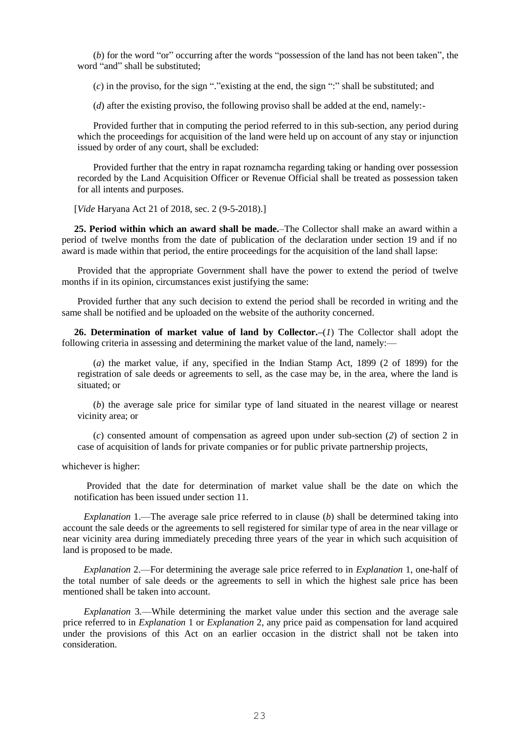(*b*) for the word "or" occurring after the words "possession of the land has not been taken", the word "and" shall be substituted;

(*c*) in the proviso, for the sign "."existing at the end, the sign ":" shall be substituted; and

(*d*) after the existing proviso, the following proviso shall be added at the end, namely:-

Provided further that in computing the period referred to in this sub-section, any period during which the proceedings for acquisition of the land were held up on account of any stay or injunction issued by order of any court, shall be excluded:

Provided further that the entry in rapat roznamcha regarding taking or handing over possession recorded by the Land Acquisition Officer or Revenue Official shall be treated as possession taken for all intents and purposes.

[*Vide* Haryana Act 21 of 2018, sec. 2 (9-5-2018).]

**25. Period within which an award shall be made.**–The Collector shall make an award within a period of twelve months from the date of publication of the declaration under section 19 and if no award is made within that period, the entire proceedings for the acquisition of the land shall lapse:

Provided that the appropriate Government shall have the power to extend the period of twelve months if in its opinion, circumstances exist justifying the same:

Provided further that any such decision to extend the period shall be recorded in writing and the same shall be notified and be uploaded on the website of the authority concerned.

**26. Determination of market value of land by Collector.–**(*1*) The Collector shall adopt the following criteria in assessing and determining the market value of the land, namely:—

(*a*) the market value, if any, specified in the Indian Stamp Act, 1899 (2 of 1899) for the registration of sale deeds or agreements to sell, as the case may be, in the area, where the land is situated; or

(*b*) the average sale price for similar type of land situated in the nearest village or nearest vicinity area; or

(*c*) consented amount of compensation as agreed upon under sub-section (*2*) of section 2 in case of acquisition of lands for private companies or for public private partnership projects,

whichever is higher:

Provided that the date for determination of market value shall be the date on which the notification has been issued under section 11.

*Explanation* 1.—The average sale price referred to in clause (*b*) shall be determined taking into account the sale deeds or the agreements to sell registered for similar type of area in the near village or near vicinity area during immediately preceding three years of the year in which such acquisition of land is proposed to be made.

*Explanation* 2.—For determining the average sale price referred to in *Explanation* 1, one-half of the total number of sale deeds or the agreements to sell in which the highest sale price has been mentioned shall be taken into account.

*Explanation* 3*.*—While determining the market value under this section and the average sale price referred to in *Explanation* 1 or *Explanation* 2, any price paid as compensation for land acquired under the provisions of this Act on an earlier occasion in the district shall not be taken into consideration.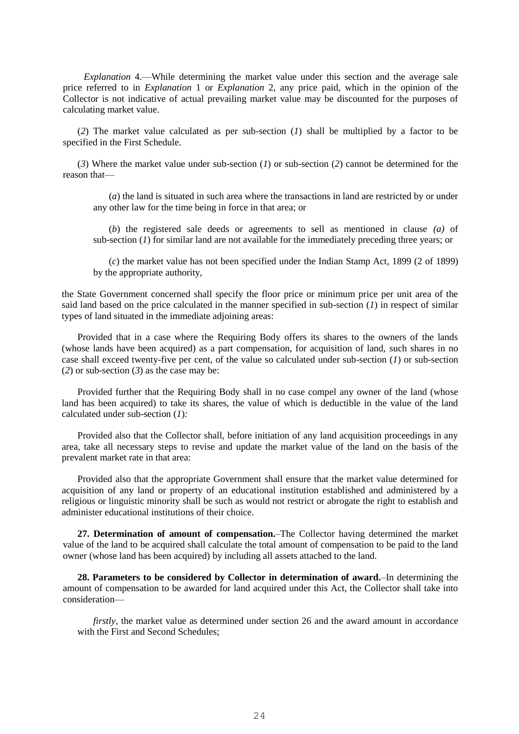*Explanation* 4.—While determining the market value under this section and the average sale price referred to in *Explanation* 1 or *Explanation* 2, any price paid, which in the opinion of the Collector is not indicative of actual prevailing market value may be discounted for the purposes of calculating market value.

(*2*) The market value calculated as per sub-section (*1*) shall be multiplied by a factor to be specified in the First Schedule.

(*3*) Where the market value under sub-section (*1*) or sub-section (*2*) cannot be determined for the reason that—

(*a*) the land is situated in such area where the transactions in land are restricted by or under any other law for the time being in force in that area; or

(*b*) the registered sale deeds or agreements to sell as mentioned in clause *(a)* of sub-section (*1*) for similar land are not available for the immediately preceding three years; or

(*c*) the market value has not been specified under the Indian Stamp Act, 1899 (2 of 1899) by the appropriate authority,

the State Government concerned shall specify the floor price or minimum price per unit area of the said land based on the price calculated in the manner specified in sub-section (*1*) in respect of similar types of land situated in the immediate adjoining areas:

Provided that in a case where the Requiring Body offers its shares to the owners of the lands (whose lands have been acquired) as a part compensation, for acquisition of land, such shares in no case shall exceed twenty-five per cent, of the value so calculated under sub-section (*1*) or sub-section (*2*) or sub-section (*3*) as the case may be:

Provided further that the Requiring Body shall in no case compel any owner of the land (whose land has been acquired) to take its shares, the value of which is deductible in the value of the land calculated under sub-section (*1*)*:*

Provided also that the Collector shall, before initiation of any land acquisition proceedings in any area, take all necessary steps to revise and update the market value of the land on the basis of the prevalent market rate in that area:

Provided also that the appropriate Government shall ensure that the market value determined for acquisition of any land or property of an educational institution established and administered by a religious or linguistic minority shall be such as would not restrict or abrogate the right to establish and administer educational institutions of their choice.

**27. Determination of amount of compensation.**–The Collector having determined the market value of the land to be acquired shall calculate the total amount of compensation to be paid to the land owner (whose land has been acquired) by including all assets attached to the land.

**28. Parameters to be considered by Collector in determination of award.**–In determining the amount of compensation to be awarded for land acquired under this Act, the Collector shall take into consideration—

*firstly*, the market value as determined under section 26 and the award amount in accordance with the First and Second Schedules;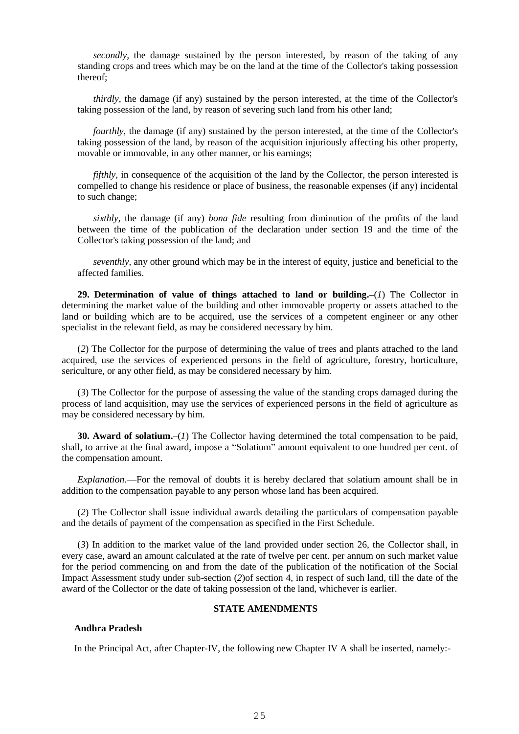*secondly,* the damage sustained by the person interested, by reason of the taking of any standing crops and trees which may be on the land at the time of the Collector's taking possession thereof;

*thirdly,* the damage (if any) sustained by the person interested, at the time of the Collector's taking possession of the land, by reason of severing such land from his other land;

*fourthly*, the damage (if any) sustained by the person interested, at the time of the Collector's taking possession of the land, by reason of the acquisition injuriously affecting his other property, movable or immovable, in any other manner, or his earnings;

*fifthly*, in consequence of the acquisition of the land by the Collector, the person interested is compelled to change his residence or place of business, the reasonable expenses (if any) incidental to such change;

*sixthly,* the damage (if any) *bona fide* resulting from diminution of the profits of the land between the time of the publication of the declaration under section 19 and the time of the Collector's taking possession of the land; and

*seventhly,* any other ground which may be in the interest of equity, justice and beneficial to the affected families.

**29. Determination of value of things attached to land or building.–**(*1*) The Collector in determining the market value of the building and other immovable property or assets attached to the land or building which are to be acquired, use the services of a competent engineer or any other specialist in the relevant field, as may be considered necessary by him.

(*2*) The Collector for the purpose of determining the value of trees and plants attached to the land acquired, use the services of experienced persons in the field of agriculture, forestry, horticulture, sericulture, or any other field, as may be considered necessary by him.

(*3*) The Collector for the purpose of assessing the value of the standing crops damaged during the process of land acquisition, may use the services of experienced persons in the field of agriculture as may be considered necessary by him.

**30. Award of solatium.**–(*1*) The Collector having determined the total compensation to be paid, shall, to arrive at the final award, impose a "Solatium" amount equivalent to one hundred per cent. of the compensation amount.

*Explanation*.—For the removal of doubts it is hereby declared that solatium amount shall be in addition to the compensation payable to any person whose land has been acquired.

(*2*) The Collector shall issue individual awards detailing the particulars of compensation payable and the details of payment of the compensation as specified in the First Schedule.

(*3*) In addition to the market value of the land provided under section 26, the Collector shall, in every case, award an amount calculated at the rate of twelve per cent. per annum on such market value for the period commencing on and from the date of the publication of the notification of the Social Impact Assessment study under sub-section (*2*)of section 4, in respect of such land, till the date of the award of the Collector or the date of taking possession of the land, whichever is earlier.

## **STATE AMENDMENTS**

### **Andhra Pradesh**

In the Principal Act, after Chapter-IV, the following new Chapter IV A shall be inserted, namely:-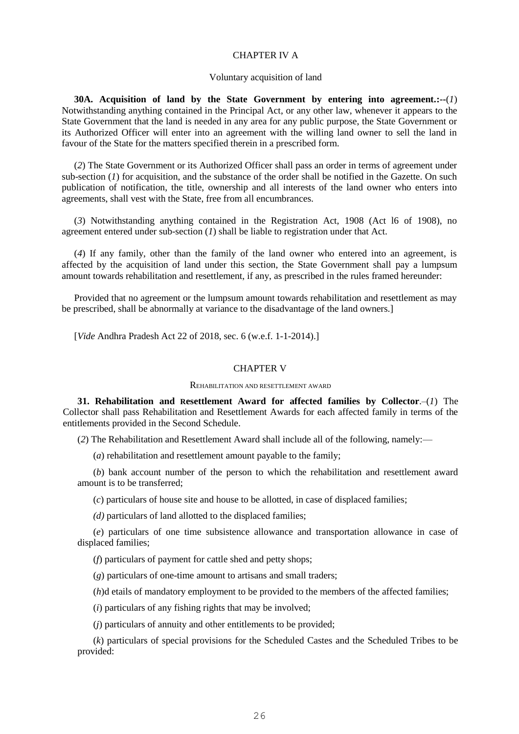### CHAPTER IV A

#### Voluntary acquisition of land

**30A. Acquisition of land by the State Government by entering into agreement.:--**(*1*) Notwithstanding anything contained in the Principal Act, or any other law, whenever it appears to the State Government that the land is needed in any area for any public purpose, the State Government or its Authorized Officer will enter into an agreement with the willing land owner to sell the land in favour of the State for the matters specified therein in a prescribed form.

(*2*) The State Government or its Authorized Officer shall pass an order in terms of agreement under sub-section (*1*) for acquisition, and the substance of the order shall be notified in the Gazette. On such publication of notification, the title, ownership and all interests of the land owner who enters into agreements, shall vest with the State, free from all encumbrances.

(*3*) Notwithstanding anything contained in the Registration Act, 1908 (Act l6 of 1908), no agreement entered under sub-section (*1*) shall be liable to registration under that Act.

(*4*) If any family, other than the family of the land owner who entered into an agreement, is affected by the acquisition of land under this section, the State Government shall pay a lumpsum amount towards rehabilitation and resettlement, if any, as prescribed in the rules framed hereunder:

Provided that no agreement or the lumpsum amount towards rehabilitation and resettlement as may be prescribed, shall be abnormally at variance to the disadvantage of the land owners.]

[*Vide* Andhra Pradesh Act 22 of 2018, sec. 6 (w.e.f. 1-1-2014).]

#### CHAPTER V

#### REHABILITATION AND RESETTLEMENT AWARD

**31. Rehabilitation and Resettlement Award for affected families by Collector**.–(*1*) The Collector shall pass Rehabilitation and Resettlement Awards for each affected family in terms of the entitlements provided in the Second Schedule.

(*2*) The Rehabilitation and Resettlement Award shall include all of the following, namely:—

(*a*) rehabilitation and resettlement amount payable to the family;

(*b*) bank account number of the person to which the rehabilitation and resettlement award amount is to be transferred;

(*c*) particulars of house site and house to be allotted, in case of displaced families;

*(d)* particulars of land allotted to the displaced families;

(*e*) particulars of one time subsistence allowance and transportation allowance in case of displaced families;

(*f*) particulars of payment for cattle shed and petty shops;

(*g*) particulars of one-time amount to artisans and small traders;

(*h*)d etails of mandatory employment to be provided to the members of the affected families;

(*i*) particulars of any fishing rights that may be involved;

(*j*) particulars of annuity and other entitlements to be provided;

(*k*) particulars of special provisions for the Scheduled Castes and the Scheduled Tribes to be provided: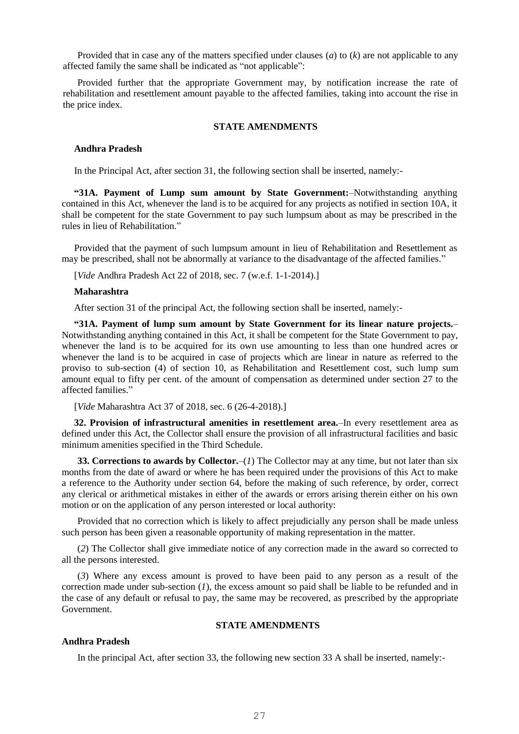Provided that in case any of the matters specified under clauses (*a*) to (*k*) are not applicable to any affected family the same shall be indicated as "not applicable":

Provided further that the appropriate Government may, by notification increase the rate of rehabilitation and resettlement amount payable to the affected families, taking into account the rise in the price index.

#### **STATE AMENDMENTS**

### **Andhra Pradesh**

In the Principal Act, after section 31, the following section shall be inserted, namely:-

**"31A. Payment of Lump sum amount by State Government:**–Notwithstanding anything contained in this Act, whenever the land is to be acquired for any projects as notified in section 10A, it shall be competent for the state Government to pay such lumpsum about as may be prescribed in the rules in lieu of Rehabilitation."

Provided that the payment of such lumpsum amount in lieu of Rehabilitation and Resettlement as may be prescribed, shall not be abnormally at variance to the disadvantage of the affected families."

[*Vide* Andhra Pradesh Act 22 of 2018, sec. 7 (w.e.f. 1-1-2014).]

#### **Maharashtra**

After section 31 of the principal Act, the following section shall be inserted, namely:-

**"31A. Payment of lump sum amount by State Government for its linear nature projects.**– Notwithstanding anything contained in this Act, it shall be competent for the State Government to pay, whenever the land is to be acquired for its own use amounting to less than one hundred acres or whenever the land is to be acquired in case of projects which are linear in nature as referred to the proviso to sub-section (4) of section 10, as Rehabilitation and Resettlement cost, such lump sum amount equal to fifty per cent. of the amount of compensation as determined under section 27 to the affected families."

[*Vide* Maharashtra Act 37 of 2018, sec. 6 (26-4-2018).]

**32. Provision of infrastructural amenities in resettlement area.**–In every resettlement area as defined under this Act, the Collector shall ensure the provision of all infrastructural facilities and basic minimum amenities specified in the Third Schedule.

**33. Corrections to awards by Collector.**—(*1*) The Collector may at any time, but not later than six months from the date of award or where he has been required under the provisions of this Act to make a reference to the Authority under section 64, before the making of such reference, by order, correct any clerical or arithmetical mistakes in either of the awards or errors arising therein either on his own motion or on the application of any person interested or local authority:

Provided that no correction which is likely to affect prejudicially any person shall be made unless such person has been given a reasonable opportunity of making representation in the matter.

(*2*) The Collector shall give immediate notice of any correction made in the award so corrected to all the persons interested.

(*3*) Where any excess amount is proved to have been paid to any person as a result of the correction made under sub-section (*1*), the excess amount so paid shall be liable to be refunded and in the case of any default or refusal to pay, the same may be recovered, as prescribed by the appropriate Government.

## **STATE AMENDMENTS**

### **Andhra Pradesh**

In the principal Act, after section 33, the following new section 33 A shall be inserted, namely:-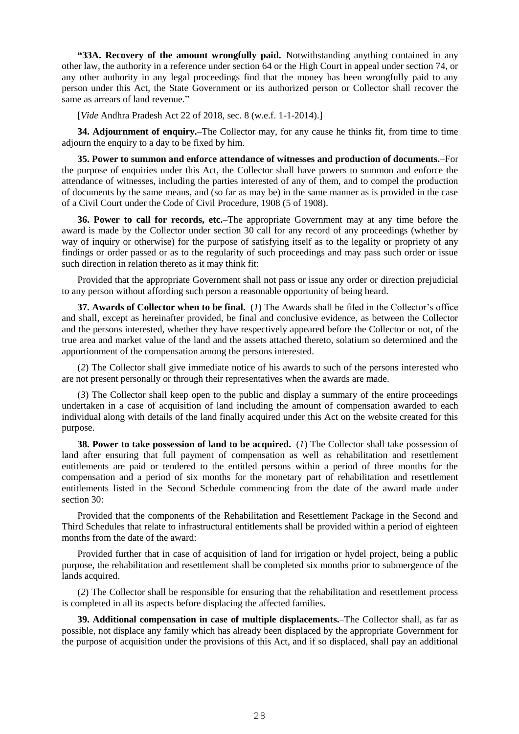**"33A. Recovery of the amount wrongfully paid.**–Notwithstanding anything contained in any other law, the authority in a reference under section 64 or the High Court in appeal under section 74, or any other authority in any legal proceedings find that the money has been wrongfully paid to any person under this Act, the State Government or its authorized person or Collector shall recover the same as arrears of land revenue."

[*Vide* Andhra Pradesh Act 22 of 2018, sec. 8 (w.e.f. 1-1-2014).]

**34. Adjournment of enquiry.**–The Collector may, for any cause he thinks fit, from time to time adjourn the enquiry to a day to be fixed by him.

**35. Power to summon and enforce attendance of witnesses and production of documents.**–For the purpose of enquiries under this Act, the Collector shall have powers to summon and enforce the attendance of witnesses, including the parties interested of any of them, and to compel the production of documents by the same means, and (so far as may be) in the same manner as is provided in the case of a Civil Court under the Code of Civil Procedure, 1908 (5 of 1908).

**36. Power to call for records, etc.**–The appropriate Government may at any time before the award is made by the Collector under section 30 call for any record of any proceedings (whether by way of inquiry or otherwise) for the purpose of satisfying itself as to the legality or propriety of any findings or order passed or as to the regularity of such proceedings and may pass such order or issue such direction in relation thereto as it may think fit:

Provided that the appropriate Government shall not pass or issue any order or direction prejudicial to any person without affording such person a reasonable opportunity of being heard.

**37. Awards of Collector when to be final.**–(*1*) The Awards shall be filed in the Collector's office and shall, except as hereinafter provided, be final and conclusive evidence, as between the Collector and the persons interested, whether they have respectively appeared before the Collector or not, of the true area and market value of the land and the assets attached thereto, solatium so determined and the apportionment of the compensation among the persons interested.

(*2*) The Collector shall give immediate notice of his awards to such of the persons interested who are not present personally or through their representatives when the awards are made.

(*3*) The Collector shall keep open to the public and display a summary of the entire proceedings undertaken in a case of acquisition of land including the amount of compensation awarded to each individual along with details of the land finally acquired under this Act on the website created for this purpose.

**38. Power to take possession of land to be acquired.**–(*1*) The Collector shall take possession of land after ensuring that full payment of compensation as well as rehabilitation and resettlement entitlements are paid or tendered to the entitled persons within a period of three months for the compensation and a period of six months for the monetary part of rehabilitation and resettlement entitlements listed in the Second Schedule commencing from the date of the award made under section 30:

Provided that the components of the Rehabilitation and Resettlement Package in the Second and Third Schedules that relate to infrastructural entitlements shall be provided within a period of eighteen months from the date of the award:

Provided further that in case of acquisition of land for irrigation or hydel project, being a public purpose, the rehabilitation and resettlement shall be completed six months prior to submergence of the lands acquired.

(*2*) The Collector shall be responsible for ensuring that the rehabilitation and resettlement process is completed in all its aspects before displacing the affected families.

**39. Additional compensation in case of multiple displacements.**–The Collector shall, as far as possible, not displace any family which has already been displaced by the appropriate Government for the purpose of acquisition under the provisions of this Act, and if so displaced, shall pay an additional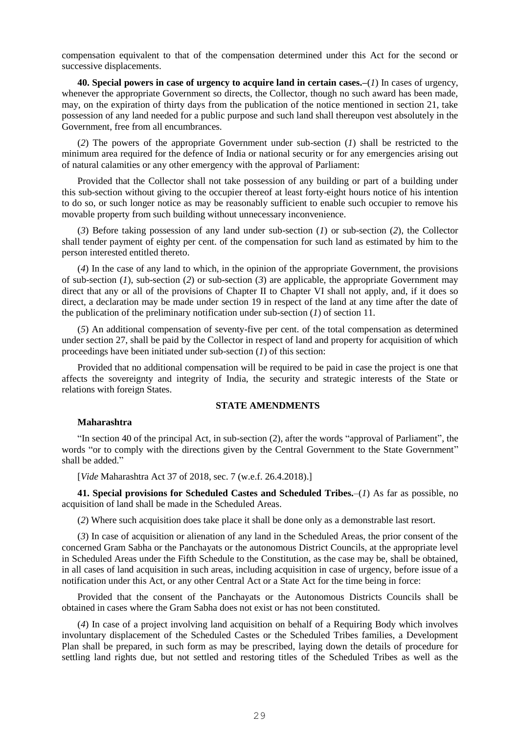compensation equivalent to that of the compensation determined under this Act for the second or successive displacements.

**40. Special powers in case of urgency to acquire land in certain cases.–**(*1*) In cases of urgency, whenever the appropriate Government so directs, the Collector, though no such award has been made, may, on the expiration of thirty days from the publication of the notice mentioned in section 21, take possession of any land needed for a public purpose and such land shall thereupon vest absolutely in the Government, free from all encumbrances.

(*2*) The powers of the appropriate Government under sub-section (*1*) shall be restricted to the minimum area required for the defence of India or national security or for any emergencies arising out of natural calamities or any other emergency with the approval of Parliament:

Provided that the Collector shall not take possession of any building or part of a building under this sub-section without giving to the occupier thereof at least forty-eight hours notice of his intention to do so, or such longer notice as may be reasonably sufficient to enable such occupier to remove his movable property from such building without unnecessary inconvenience.

(*3*) Before taking possession of any land under sub-section (*1*) or sub-section (*2*), the Collector shall tender payment of eighty per cent. of the compensation for such land as estimated by him to the person interested entitled thereto.

(*4*) In the case of any land to which, in the opinion of the appropriate Government, the provisions of sub-section (*1*), sub-section (*2*) or sub-section (*3*) are applicable, the appropriate Government may direct that any or all of the provisions of Chapter II to Chapter VI shall not apply, and, if it does so direct, a declaration may be made under section 19 in respect of the land at any time after the date of the publication of the preliminary notification under sub-section (*1*) of section 11.

(*5*) An additional compensation of seventy-five per cent. of the total compensation as determined under section 27, shall be paid by the Collector in respect of land and property for acquisition of which proceedings have been initiated under sub-section (*1*) of this section:

Provided that no additional compensation will be required to be paid in case the project is one that affects the sovereignty and integrity of India, the security and strategic interests of the State or relations with foreign States.

### **STATE AMENDMENTS**

#### **Maharashtra**

"In section 40 of the principal Act, in sub-section (2), after the words "approval of Parliament", the words "or to comply with the directions given by the Central Government to the State Government" shall be added."

[*Vide* Maharashtra Act 37 of 2018, sec. 7 (w.e.f. 26.4.2018).]

**41. Special provisions for Scheduled Castes and Scheduled Tribes.**–(*1*) As far as possible, no acquisition of land shall be made in the Scheduled Areas.

(*2*) Where such acquisition does take place it shall be done only as a demonstrable last resort.

(*3*) In case of acquisition or alienation of any land in the Scheduled Areas, the prior consent of the concerned Gram Sabha or the Panchayats or the autonomous District Councils, at the appropriate level in Scheduled Areas under the Fifth Schedule to the Constitution, as the case may be, shall be obtained, in all cases of land acquisition in such areas, including acquisition in case of urgency, before issue of a notification under this Act, or any other Central Act or a State Act for the time being in force:

Provided that the consent of the Panchayats or the Autonomous Districts Councils shall be obtained in cases where the Gram Sabha does not exist or has not been constituted.

(*4*) In case of a project involving land acquisition on behalf of a Requiring Body which involves involuntary displacement of the Scheduled Castes or the Scheduled Tribes families, a Development Plan shall be prepared, in such form as may be prescribed, laying down the details of procedure for settling land rights due, but not settled and restoring titles of the Scheduled Tribes as well as the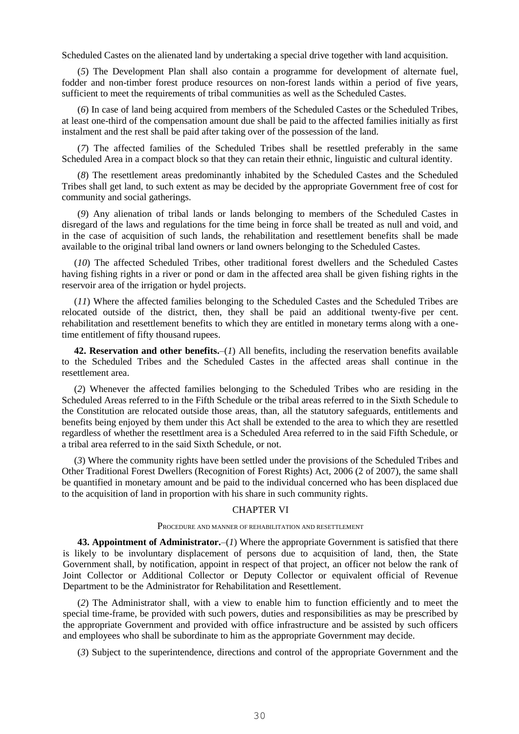Scheduled Castes on the alienated land by undertaking a special drive together with land acquisition.

(*5*) The Development Plan shall also contain a programme for development of alternate fuel, fodder and non-timber forest produce resources on non-forest lands within a period of five years, sufficient to meet the requirements of tribal communities as well as the Scheduled Castes.

(*6*) In case of land being acquired from members of the Scheduled Castes or the Scheduled Tribes, at least one-third of the compensation amount due shall be paid to the affected families initially as first instalment and the rest shall be paid after taking over of the possession of the land.

(*7*) The affected families of the Scheduled Tribes shall be resettled preferably in the same Scheduled Area in a compact block so that they can retain their ethnic, linguistic and cultural identity.

(*8*) The resettlement areas predominantly inhabited by the Scheduled Castes and the Scheduled Tribes shall get land, to such extent as may be decided by the appropriate Government free of cost for community and social gatherings.

(*9*) Any alienation of tribal lands or lands belonging to members of the Scheduled Castes in disregard of the laws and regulations for the time being in force shall be treated as null and void, and in the case of acquisition of such lands, the rehabilitation and resettlement benefits shall be made available to the original tribal land owners or land owners belonging to the Scheduled Castes.

(*10*) The affected Scheduled Tribes, other traditional forest dwellers and the Scheduled Castes having fishing rights in a river or pond or dam in the affected area shall be given fishing rights in the reservoir area of the irrigation or hydel projects.

(*11*) Where the affected families belonging to the Scheduled Castes and the Scheduled Tribes are relocated outside of the district, then, they shall be paid an additional twenty-five per cent. rehabilitation and resettlement benefits to which they are entitled in monetary terms along with a onetime entitlement of fifty thousand rupees.

**42. Reservation and other benefits.**–(*1*) All benefits, including the reservation benefits available to the Scheduled Tribes and the Scheduled Castes in the affected areas shall continue in the resettlement area.

(*2*) Whenever the affected families belonging to the Scheduled Tribes who are residing in the Scheduled Areas referred to in the Fifth Schedule or the tribal areas referred to in the Sixth Schedule to the Constitution are relocated outside those areas, than, all the statutory safeguards, entitlements and benefits being enjoyed by them under this Act shall be extended to the area to which they are resettled regardless of whether the resettlment area is a Scheduled Area referred to in the said Fifth Schedule, or a tribal area referred to in the said Sixth Schedule, or not.

(*3*) Where the community rights have been settled under the provisions of the Scheduled Tribes and Other Traditional Forest Dwellers (Recognition of Forest Rights) Act, 2006 (2 of 2007), the same shall be quantified in monetary amount and be paid to the individual concerned who has been displaced due to the acquisition of land in proportion with his share in such community rights.

## CHAPTER VI

#### PROCEDURE AND MANNER OF REHABILITATION AND RESETTLEMENT

**43. Appointment of Administrator.**–(*1*) Where the appropriate Government is satisfied that there is likely to be involuntary displacement of persons due to acquisition of land, then, the State Government shall, by notification, appoint in respect of that project, an officer not below the rank of Joint Collector or Additional Collector or Deputy Collector or equivalent official of Revenue Department to be the Administrator for Rehabilitation and Resettlement.

(*2*) The Administrator shall, with a view to enable him to function efficiently and to meet the special time-frame, be provided with such powers, duties and responsibilities as may be prescribed by the appropriate Government and provided with office infrastructure and be assisted by such officers and employees who shall be subordinate to him as the appropriate Government may decide.

(*3*) Subject to the superintendence, directions and control of the appropriate Government and the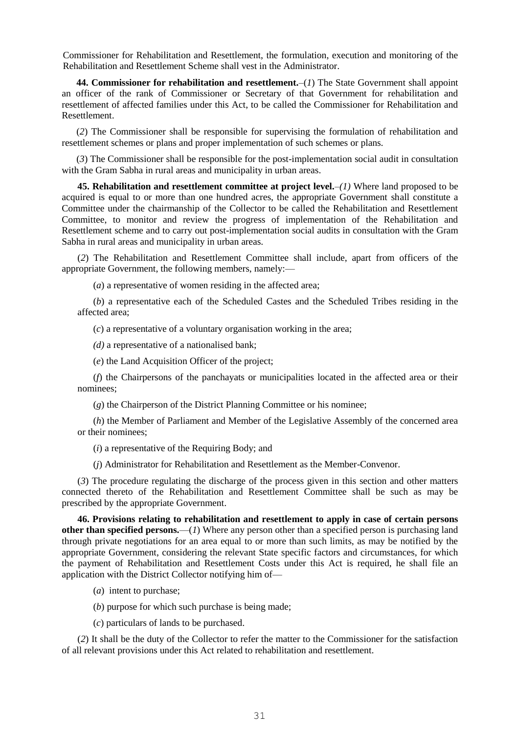Commissioner for Rehabilitation and Resettlement, the formulation, execution and monitoring of the Rehabilitation and Resettlement Scheme shall vest in the Administrator.

**44. Commissioner for rehabilitation and resettlement.**–(*1*) The State Government shall appoint an officer of the rank of Commissioner or Secretary of that Government for rehabilitation and resettlement of affected families under this Act, to be called the Commissioner for Rehabilitation and Resettlement.

(*2*) The Commissioner shall be responsible for supervising the formulation of rehabilitation and resettlement schemes or plans and proper implementation of such schemes or plans.

(*3*) The Commissioner shall be responsible for the post-implementation social audit in consultation with the Gram Sabha in rural areas and municipality in urban areas.

**45. Rehabilitation and resettlement committee at project level.**–*(1)* Where land proposed to be acquired is equal to or more than one hundred acres, the appropriate Government shall constitute a Committee under the chairmanship of the Collector to be called the Rehabilitation and Resettlement Committee, to monitor and review the progress of implementation of the Rehabilitation and Resettlement scheme and to carry out post-implementation social audits in consultation with the Gram Sabha in rural areas and municipality in urban areas.

(*2*) The Rehabilitation and Resettlement Committee shall include, apart from officers of the appropriate Government, the following members, namely:—

(*a*) a representative of women residing in the affected area;

(*b*) a representative each of the Scheduled Castes and the Scheduled Tribes residing in the affected area;

(*c*) a representative of a voluntary organisation working in the area;

*(d)* a representative of a nationalised bank;

(*e*) the Land Acquisition Officer of the project;

(*f*) the Chairpersons of the panchayats or municipalities located in the affected area or their nominees;

(*g*) the Chairperson of the District Planning Committee or his nominee;

(*h*) the Member of Parliament and Member of the Legislative Assembly of the concerned area or their nominees;

(*i*) a representative of the Requiring Body; and

(*j*) Administrator for Rehabilitation and Resettlement as the Member-Convenor.

(*3*) The procedure regulating the discharge of the process given in this section and other matters connected thereto of the Rehabilitation and Resettlement Committee shall be such as may be prescribed by the appropriate Government.

**46. Provisions relating to rehabilitation and resettlement to apply in case of certain persons other than specified persons.**—(*1*) Where any person other than a specified person is purchasing land through private negotiations for an area equal to or more than such limits, as may be notified by the appropriate Government, considering the relevant State specific factors and circumstances, for which the payment of Rehabilitation and Resettlement Costs under this Act is required, he shall file an application with the District Collector notifying him of—

- (*a*) intent to purchase;
- (*b*) purpose for which such purchase is being made;
- (*c*) particulars of lands to be purchased.

(*2*) It shall be the duty of the Collector to refer the matter to the Commissioner for the satisfaction of all relevant provisions under this Act related to rehabilitation and resettlement.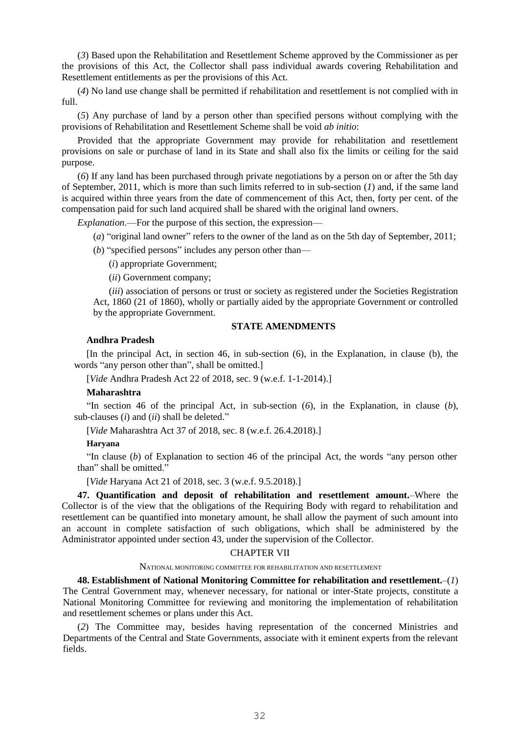(*3*) Based upon the Rehabilitation and Resettlement Scheme approved by the Commissioner as per the provisions of this Act, the Collector shall pass individual awards covering Rehabilitation and Resettlement entitlements as per the provisions of this Act.

(*4*) No land use change shall be permitted if rehabilitation and resettlement is not complied with in full.

(*5*) Any purchase of land by a person other than specified persons without complying with the provisions of Rehabilitation and Resettlement Scheme shall be void *ab initio*:

Provided that the appropriate Government may provide for rehabilitation and resettlement provisions on sale or purchase of land in its State and shall also fix the limits or ceiling for the said purpose.

(*6*) If any land has been purchased through private negotiations by a person on or after the 5th day of September, 2011, which is more than such limits referred to in sub-section (*1*) and, if the same land is acquired within three years from the date of commencement of this Act, then, forty per cent. of the compensation paid for such land acquired shall be shared with the original land owners.

*Explanation*.—For the purpose of this section, the expression—

(*a*) "original land owner" refers to the owner of the land as on the 5th day of September, 2011;

(*b*) "specified persons" includes any person other than—

(*i*) appropriate Government;

(*ii*) Government company;

(*iii*) association of persons or trust or society as registered under the Societies Registration Act, 1860 (21 of 1860), wholly or partially aided by the appropriate Government or controlled by the appropriate Government.

#### **STATE AMENDMENTS**

### **Andhra Pradesh**

[In the principal Act, in section 46, in sub-section (6), in the Explanation, in clause (b), the words "any person other than", shall be omitted.]

[*Vide* Andhra Pradesh Act 22 of 2018, sec. 9 (w.e.f. 1-1-2014).]

### **Maharashtra**

"In section 46 of the principal Act, in sub-section (*6*), in the Explanation, in clause (*b*), sub-clauses (*i*) and (*ii*) shall be deleted."

[*Vide* Maharashtra Act 37 of 2018, sec. 8 (w.e.f. 26.4.2018).]

### **Haryana**

"In clause (*b*) of Explanation to section 46 of the principal Act, the words "any person other than" shall be omitted."

[*Vide* Haryana Act 21 of 2018, sec. 3 (w.e.f. 9.5.2018).]

**47. Quantification and deposit of rehabilitation and resettlement amount.**–Where the Collector is of the view that the obligations of the Requiring Body with regard to rehabilitation and resettlement can be quantified into monetary amount, he shall allow the payment of such amount into an account in complete satisfaction of such obligations, which shall be administered by the Administrator appointed under section 43, under the supervision of the Collector.

### CHAPTER VII

### NATIONAL MONITORING COMMITTEE FOR REHABILITATION AND RESETTLEMENT

**48. Establishment of National Monitoring Committee for rehabilitation and resettlement.**–(*1*) The Central Government may, whenever necessary, for national or inter-State projects, constitute a National Monitoring Committee for reviewing and monitoring the implementation of rehabilitation and resettlement schemes or plans under this Act.

(*2*) The Committee may, besides having representation of the concerned Ministries and Departments of the Central and State Governments, associate with it eminent experts from the relevant fields.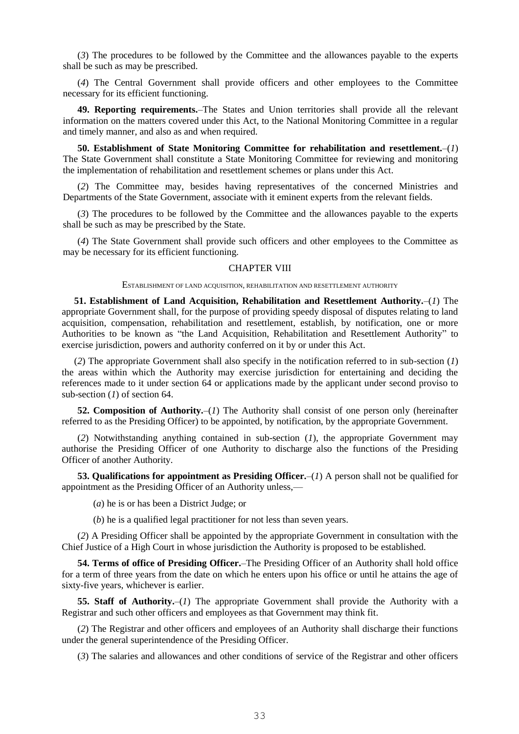(*3*) The procedures to be followed by the Committee and the allowances payable to the experts shall be such as may be prescribed.

(*4*) The Central Government shall provide officers and other employees to the Committee necessary for its efficient functioning.

**49. Reporting requirements.**–The States and Union territories shall provide all the relevant information on the matters covered under this Act, to the National Monitoring Committee in a regular and timely manner, and also as and when required.

**50. Establishment of State Monitoring Committee for rehabilitation and resettlement.***–*(*1*) The State Government shall constitute a State Monitoring Committee for reviewing and monitoring the implementation of rehabilitation and resettlement schemes or plans under this Act.

(*2*) The Committee may, besides having representatives of the concerned Ministries and Departments of the State Government, associate with it eminent experts from the relevant fields.

(*3*) The procedures to be followed by the Committee and the allowances payable to the experts shall be such as may be prescribed by the State.

(*4*) The State Government shall provide such officers and other employees to the Committee as may be necessary for its efficient functioning.

### CHAPTER VIII

ESTABLISHMENT OF LAND ACQUISITION, REHABILITATION AND RESETTLEMENT AUTHORITY

**51. Establishment of Land Acquisition, Rehabilitation and Resettlement Authority.**–(*1*) The appropriate Government shall, for the purpose of providing speedy disposal of disputes relating to land acquisition, compensation, rehabilitation and resettlement, establish, by notification, one or more Authorities to be known as "the Land Acquisition, Rehabilitation and Resettlement Authority" to exercise jurisdiction, powers and authority conferred on it by or under this Act.

(*2*) The appropriate Government shall also specify in the notification referred to in sub-section (*1*) the areas within which the Authority may exercise jurisdiction for entertaining and deciding the references made to it under section 64 or applications made by the applicant under second proviso to sub-section (*1*) of section 64.

**52. Composition of Authority.**–(*1*) The Authority shall consist of one person only (hereinafter referred to as the Presiding Officer) to be appointed, by notification, by the appropriate Government.

(*2*) Notwithstanding anything contained in sub-section (*1*), the appropriate Government may authorise the Presiding Officer of one Authority to discharge also the functions of the Presiding Officer of another Authority.

**53. Qualifications for appointment as Presiding Officer.**–(*1*) A person shall not be qualified for appointment as the Presiding Officer of an Authority unless,—

(*a*) he is or has been a District Judge; or

(*b*) he is a qualified legal practitioner for not less than seven years.

(*2*) A Presiding Officer shall be appointed by the appropriate Government in consultation with the Chief Justice of a High Court in whose jurisdiction the Authority is proposed to be established.

**54. Terms of office of Presiding Officer.**–The Presiding Officer of an Authority shall hold office for a term of three years from the date on which he enters upon his office or until he attains the age of sixty-five years, whichever is earlier.

**55. Staff of Authority.**–(*1*) The appropriate Government shall provide the Authority with a Registrar and such other officers and employees as that Government may think fit.

(*2*) The Registrar and other officers and employees of an Authority shall discharge their functions under the general superintendence of the Presiding Officer.

(*3*) The salaries and allowances and other conditions of service of the Registrar and other officers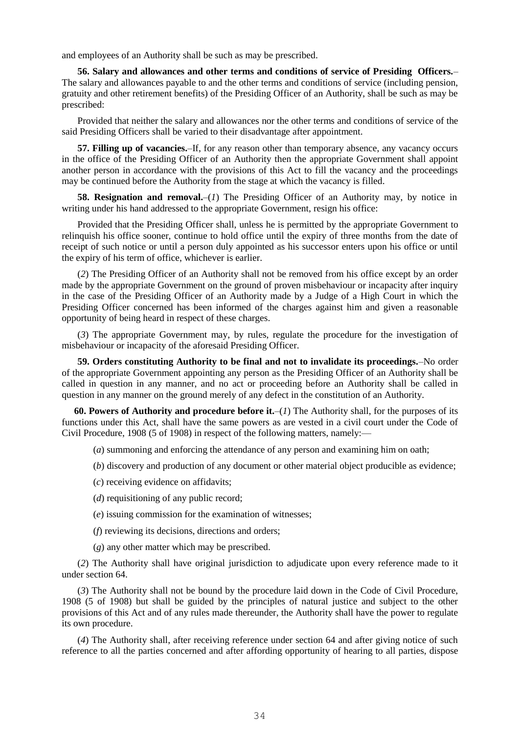and employees of an Authority shall be such as may be prescribed.

**56. Salary and allowances and other terms and conditions of service of Presiding Officers.**– The salary and allowances payable to and the other terms and conditions of service (including pension, gratuity and other retirement benefits) of the Presiding Officer of an Authority, shall be such as may be prescribed:

Provided that neither the salary and allowances nor the other terms and conditions of service of the said Presiding Officers shall be varied to their disadvantage after appointment.

**57. Filling up of vacancies.**–If, for any reason other than temporary absence, any vacancy occurs in the office of the Presiding Officer of an Authority then the appropriate Government shall appoint another person in accordance with the provisions of this Act to fill the vacancy and the proceedings may be continued before the Authority from the stage at which the vacancy is filled.

**58. Resignation and removal.**–(*1*) The Presiding Officer of an Authority may, by notice in writing under his hand addressed to the appropriate Government, resign his office:

Provided that the Presiding Officer shall, unless he is permitted by the appropriate Government to relinquish his office sooner, continue to hold office until the expiry of three months from the date of receipt of such notice or until a person duly appointed as his successor enters upon his office or until the expiry of his term of office, whichever is earlier.

(*2*) The Presiding Officer of an Authority shall not be removed from his office except by an order made by the appropriate Government on the ground of proven misbehaviour or incapacity after inquiry in the case of the Presiding Officer of an Authority made by a Judge of a High Court in which the Presiding Officer concerned has been informed of the charges against him and given a reasonable opportunity of being heard in respect of these charges.

(*3*) The appropriate Government may, by rules, regulate the procedure for the investigation of misbehaviour or incapacity of the aforesaid Presiding Officer.

**59. Orders constituting Authority to be final and not to invalidate its proceedings.**–No order of the appropriate Government appointing any person as the Presiding Officer of an Authority shall be called in question in any manner, and no act or proceeding before an Authority shall be called in question in any manner on the ground merely of any defect in the constitution of an Authority.

**60. Powers of Authority and procedure before it.**–(*1*) The Authority shall, for the purposes of its functions under this Act, shall have the same powers as are vested in a civil court under the Code of Civil Procedure, 1908 (5 of 1908) in respect of the following matters, namely:—

(*a*) summoning and enforcing the attendance of any person and examining him on oath;

(*b*) discovery and production of any document or other material object producible as evidence;

- (*c*) receiving evidence on affidavits;
- (*d*) requisitioning of any public record;
- (*e*) issuing commission for the examination of witnesses;
- (*f*) reviewing its decisions, directions and orders;
- (*g*) any other matter which may be prescribed.

(*2*) The Authority shall have original jurisdiction to adjudicate upon every reference made to it under section 64.

(*3*) The Authority shall not be bound by the procedure laid down in the Code of Civil Procedure, 1908 (5 of 1908) but shall be guided by the principles of natural justice and subject to the other provisions of this Act and of any rules made thereunder, the Authority shall have the power to regulate its own procedure.

(*4*) The Authority shall, after receiving reference under section 64 and after giving notice of such reference to all the parties concerned and after affording opportunity of hearing to all parties, dispose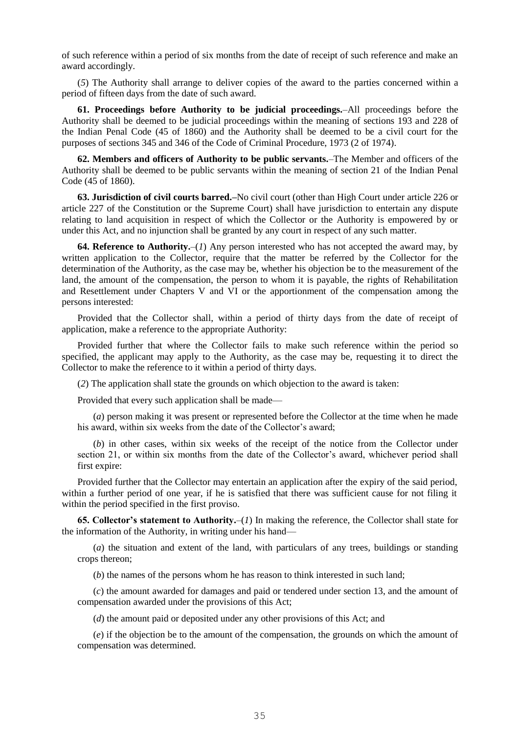of such reference within a period of six months from the date of receipt of such reference and make an award accordingly.

(*5*) The Authority shall arrange to deliver copies of the award to the parties concerned within a period of fifteen days from the date of such award.

**61. Proceedings before Authority to be judicial proceedings.**–All proceedings before the Authority shall be deemed to be judicial proceedings within the meaning of sections 193 and 228 of the Indian Penal Code (45 of 1860) and the Authority shall be deemed to be a civil court for the purposes of sections 345 and 346 of the Code of Criminal Procedure, 1973 (2 of 1974).

**62. Members and officers of Authority to be public servants.**–The Member and officers of the Authority shall be deemed to be public servants within the meaning of section 21 of the Indian Penal Code (45 of 1860).

**63. Jurisdiction of civil courts barred.–**No civil court (other than High Court under article 226 or article 227 of the Constitution or the Supreme Court) shall have jurisdiction to entertain any dispute relating to land acquisition in respect of which the Collector or the Authority is empowered by or under this Act, and no injunction shall be granted by any court in respect of any such matter.

**64. Reference to Authority.**–(*1*) Any person interested who has not accepted the award may, by written application to the Collector, require that the matter be referred by the Collector for the determination of the Authority, as the case may be, whether his objection be to the measurement of the land, the amount of the compensation, the person to whom it is payable, the rights of Rehabilitation and Resettlement under Chapters V and VI or the apportionment of the compensation among the persons interested:

Provided that the Collector shall, within a period of thirty days from the date of receipt of application, make a reference to the appropriate Authority:

Provided further that where the Collector fails to make such reference within the period so specified, the applicant may apply to the Authority, as the case may be, requesting it to direct the Collector to make the reference to it within a period of thirty days.

(*2*) The application shall state the grounds on which objection to the award is taken:

Provided that every such application shall be made—

(*a*) person making it was present or represented before the Collector at the time when he made his award, within six weeks from the date of the Collector's award;

(*b*) in other cases, within six weeks of the receipt of the notice from the Collector under section 21, or within six months from the date of the Collector's award, whichever period shall first expire:

Provided further that the Collector may entertain an application after the expiry of the said period, within a further period of one year, if he is satisfied that there was sufficient cause for not filing it within the period specified in the first proviso.

**65. Collector's statement to Authority.**–(*1*) In making the reference, the Collector shall state for the information of the Authority, in writing under his hand—

(*a*) the situation and extent of the land, with particulars of any trees, buildings or standing crops thereon;

(*b*) the names of the persons whom he has reason to think interested in such land;

(*c*) the amount awarded for damages and paid or tendered under section 13, and the amount of compensation awarded under the provisions of this Act;

(*d*) the amount paid or deposited under any other provisions of this Act; and

(*e*) if the objection be to the amount of the compensation, the grounds on which the amount of compensation was determined.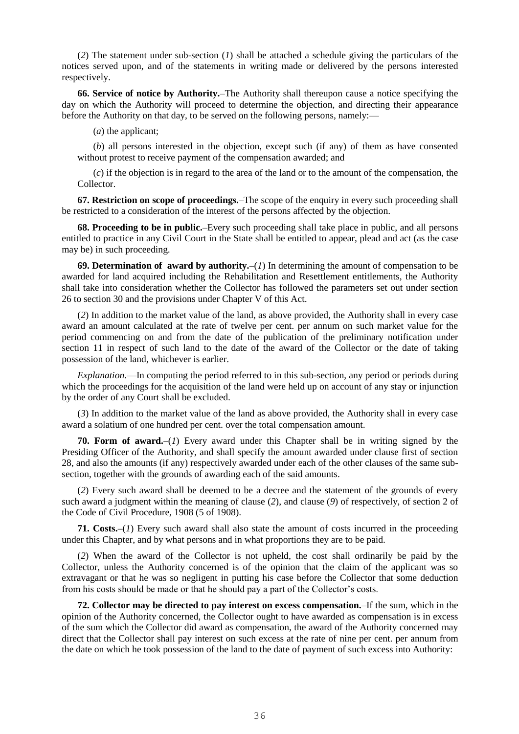(*2*) The statement under sub-section (*1*) shall be attached a schedule giving the particulars of the notices served upon, and of the statements in writing made or delivered by the persons interested respectively.

**66. Service of notice by Authority.**–The Authority shall thereupon cause a notice specifying the day on which the Authority will proceed to determine the objection, and directing their appearance before the Authority on that day, to be served on the following persons, namely:—

(*a*) the applicant;

(*b*) all persons interested in the objection, except such (if any) of them as have consented without protest to receive payment of the compensation awarded; and

(*c*) if the objection is in regard to the area of the land or to the amount of the compensation, the Collector.

**67. Restriction on scope of proceedings.**–The scope of the enquiry in every such proceeding shall be restricted to a consideration of the interest of the persons affected by the objection.

**68. Proceeding to be in public.**–Every such proceeding shall take place in public, and all persons entitled to practice in any Civil Court in the State shall be entitled to appear, plead and act (as the case may be) in such proceeding.

**69. Determination of award by authority.**–(*1*) In determining the amount of compensation to be awarded for land acquired including the Rehabilitation and Resettlement entitlements, the Authority shall take into consideration whether the Collector has followed the parameters set out under section 26 to section 30 and the provisions under Chapter V of this Act.

(*2*) In addition to the market value of the land, as above provided, the Authority shall in every case award an amount calculated at the rate of twelve per cent. per annum on such market value for the period commencing on and from the date of the publication of the preliminary notification under section 11 in respect of such land to the date of the award of the Collector or the date of taking possession of the land, whichever is earlier.

*Explanation*.—In computing the period referred to in this sub-section, any period or periods during which the proceedings for the acquisition of the land were held up on account of any stay or injunction by the order of any Court shall be excluded.

(*3*) In addition to the market value of the land as above provided, the Authority shall in every case award a solatium of one hundred per cent. over the total compensation amount.

**70. Form of award.**–(*1*) Every award under this Chapter shall be in writing signed by the Presiding Officer of the Authority, and shall specify the amount awarded under clause first of section 28, and also the amounts (if any) respectively awarded under each of the other clauses of the same subsection, together with the grounds of awarding each of the said amounts.

(*2*) Every such award shall be deemed to be a decree and the statement of the grounds of every such award a judgment within the meaning of clause (*2*), and clause (*9*) of respectively, of section 2 of the Code of Civil Procedure, 1908 (5 of 1908).

**71. Costs.–**(*1*) Every such award shall also state the amount of costs incurred in the proceeding under this Chapter, and by what persons and in what proportions they are to be paid.

(*2*) When the award of the Collector is not upheld, the cost shall ordinarily be paid by the Collector, unless the Authority concerned is of the opinion that the claim of the applicant was so extravagant or that he was so negligent in putting his case before the Collector that some deduction from his costs should be made or that he should pay a part of the Collector's costs.

**72. Collector may be directed to pay interest on excess compensation.**–If the sum, which in the opinion of the Authority concerned, the Collector ought to have awarded as compensation is in excess of the sum which the Collector did award as compensation, the award of the Authority concerned may direct that the Collector shall pay interest on such excess at the rate of nine per cent. per annum from the date on which he took possession of the land to the date of payment of such excess into Authority: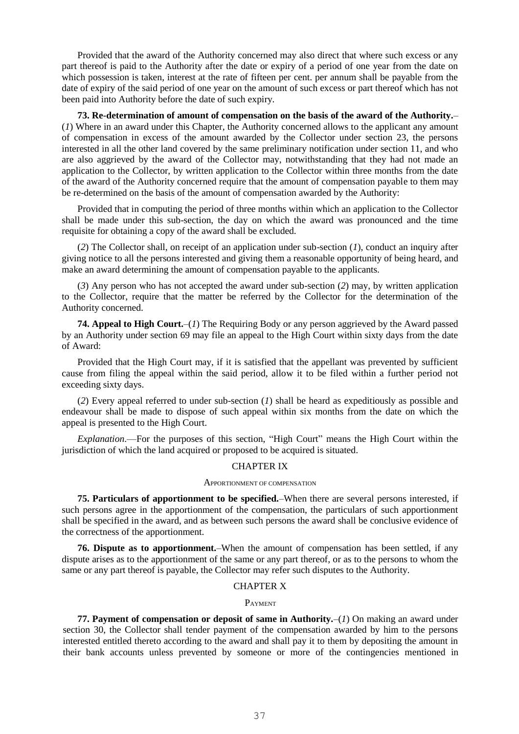Provided that the award of the Authority concerned may also direct that where such excess or any part thereof is paid to the Authority after the date or expiry of a period of one year from the date on which possession is taken, interest at the rate of fifteen per cent. per annum shall be payable from the date of expiry of the said period of one year on the amount of such excess or part thereof which has not been paid into Authority before the date of such expiry.

**73. Re-determination of amount of compensation on the basis of the award of the Authority.**– (*1*) Where in an award under this Chapter, the Authority concerned allows to the applicant any amount of compensation in excess of the amount awarded by the Collector under section 23, the persons interested in all the other land covered by the same preliminary notification under section 11, and who are also aggrieved by the award of the Collector may, notwithstanding that they had not made an application to the Collector, by written application to the Collector within three months from the date of the award of the Authority concerned require that the amount of compensation payable to them may be re-determined on the basis of the amount of compensation awarded by the Authority:

Provided that in computing the period of three months within which an application to the Collector shall be made under this sub-section, the day on which the award was pronounced and the time requisite for obtaining a copy of the award shall be excluded.

(*2*) The Collector shall, on receipt of an application under sub-section (*1*), conduct an inquiry after giving notice to all the persons interested and giving them a reasonable opportunity of being heard, and make an award determining the amount of compensation payable to the applicants.

(*3*) Any person who has not accepted the award under sub-section (*2*) may, by written application to the Collector, require that the matter be referred by the Collector for the determination of the Authority concerned.

**74. Appeal to High Court.**–(*1*) The Requiring Body or any person aggrieved by the Award passed by an Authority under section 69 may file an appeal to the High Court within sixty days from the date of Award:

Provided that the High Court may, if it is satisfied that the appellant was prevented by sufficient cause from filing the appeal within the said period, allow it to be filed within a further period not exceeding sixty days.

(*2*) Every appeal referred to under sub-section (*1*) shall be heard as expeditiously as possible and endeavour shall be made to dispose of such appeal within six months from the date on which the appeal is presented to the High Court.

*Explanation*.—For the purposes of this section, "High Court" means the High Court within the jurisdiction of which the land acquired or proposed to be acquired is situated.

### CHAPTER IX

#### APPORTIONMENT OF COMPENSATION

**75. Particulars of apportionment to be specified.**–When there are several persons interested, if such persons agree in the apportionment of the compensation, the particulars of such apportionment shall be specified in the award, and as between such persons the award shall be conclusive evidence of the correctness of the apportionment.

**76. Dispute as to apportionment.**–When the amount of compensation has been settled, if any dispute arises as to the apportionment of the same or any part thereof, or as to the persons to whom the same or any part thereof is payable, the Collector may refer such disputes to the Authority.

### CHAPTER X

#### PAYMENT

**77. Payment of compensation or deposit of same in Authority.***–*(*1*) On making an award under section 30, the Collector shall tender payment of the compensation awarded by him to the persons interested entitled thereto according to the award and shall pay it to them by depositing the amount in their bank accounts unless prevented by someone or more of the contingencies mentioned in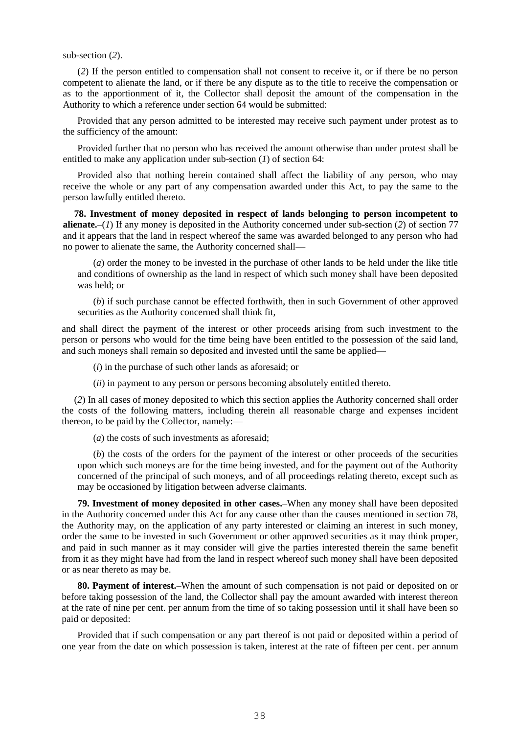sub-section (*2*).

(*2*) If the person entitled to compensation shall not consent to receive it, or if there be no person competent to alienate the land, or if there be any dispute as to the title to receive the compensation or as to the apportionment of it, the Collector shall deposit the amount of the compensation in the Authority to which a reference under section 64 would be submitted:

Provided that any person admitted to be interested may receive such payment under protest as to the sufficiency of the amount:

Provided further that no person who has received the amount otherwise than under protest shall be entitled to make any application under sub-section (*1*) of section 64:

Provided also that nothing herein contained shall affect the liability of any person, who may receive the whole or any part of any compensation awarded under this Act, to pay the same to the person lawfully entitled thereto.

**78. Investment of money deposited in respect of lands belonging to person incompetent to alienate.**–(*1*) If any money is deposited in the Authority concerned under sub-section (*2*) of section 77 and it appears that the land in respect whereof the same was awarded belonged to any person who had no power to alienate the same, the Authority concerned shall—

(*a*) order the money to be invested in the purchase of other lands to be held under the like title and conditions of ownership as the land in respect of which such money shall have been deposited was held; or

(*b*) if such purchase cannot be effected forthwith, then in such Government of other approved securities as the Authority concerned shall think fit,

and shall direct the payment of the interest or other proceeds arising from such investment to the person or persons who would for the time being have been entitled to the possession of the said land, and such moneys shall remain so deposited and invested until the same be applied—

(*i*) in the purchase of such other lands as aforesaid; or

(*ii*) in payment to any person or persons becoming absolutely entitled thereto.

(*2*) In all cases of money deposited to which this section applies the Authority concerned shall order the costs of the following matters, including therein all reasonable charge and expenses incident thereon, to be paid by the Collector, namely:—

(*a*) the costs of such investments as aforesaid;

(*b*) the costs of the orders for the payment of the interest or other proceeds of the securities upon which such moneys are for the time being invested, and for the payment out of the Authority concerned of the principal of such moneys, and of all proceedings relating thereto, except such as may be occasioned by litigation between adverse claimants.

**79. Investment of money deposited in other cases.**–When any money shall have been deposited in the Authority concerned under this Act for any cause other than the causes mentioned in section 78, the Authority may, on the application of any party interested or claiming an interest in such money, order the same to be invested in such Government or other approved securities as it may think proper, and paid in such manner as it may consider will give the parties interested therein the same benefit from it as they might have had from the land in respect whereof such money shall have been deposited or as near thereto as may be.

**80. Payment of interest.**–When the amount of such compensation is not paid or deposited on or before taking possession of the land, the Collector shall pay the amount awarded with interest thereon at the rate of nine per cent. per annum from the time of so taking possession until it shall have been so paid or deposited:

Provided that if such compensation or any part thereof is not paid or deposited within a period of one year from the date on which possession is taken, interest at the rate of fifteen per cent. per annum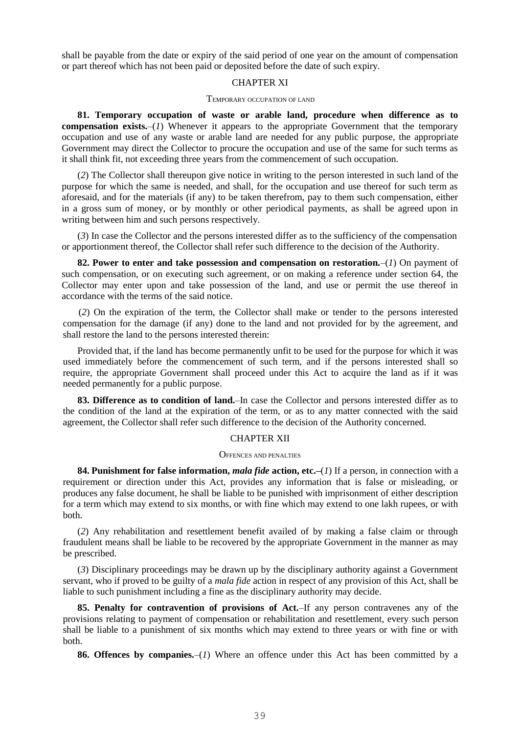shall be payable from the date or expiry of the said period of one year on the amount of compensation or part thereof which has not been paid or deposited before the date of such expiry.

## CHAPTER XI

#### TEMPORARY OCCUPATION OF LAND

**81. Temporary occupation of waste or arable land, procedure when difference as to compensation exists.**–(*1*) Whenever it appears to the appropriate Government that the temporary occupation and use of any waste or arable land are needed for any public purpose, the appropriate Government may direct the Collector to procure the occupation and use of the same for such terms as it shall think fit, not exceeding three years from the commencement of such occupation.

(*2*) The Collector shall thereupon give notice in writing to the person interested in such land of the purpose for which the same is needed, and shall, for the occupation and use thereof for such term as aforesaid, and for the materials (if any) to be taken therefrom, pay to them such compensation, either in a gross sum of money, or by monthly or other periodical payments, as shall be agreed upon in writing between him and such persons respectively.

(*3*) In case the Collector and the persons interested differ as to the sufficiency of the compensation or apportionment thereof, the Collector shall refer such difference to the decision of the Authority.

**82. Power to enter and take possession and compensation on restoration.***–*(*1*) On payment of such compensation, or on executing such agreement, or on making a reference under section 64, the Collector may enter upon and take possession of the land, and use or permit the use thereof in accordance with the terms of the said notice.

(*2*) On the expiration of the term, the Collector shall make or tender to the persons interested compensation for the damage (if any) done to the land and not provided for by the agreement, and shall restore the land to the persons interested therein:

Provided that, if the land has become permanently unfit to be used for the purpose for which it was used immediately before the commencement of such term, and if the persons interested shall so require, the appropriate Government shall proceed under this Act to acquire the land as if it was needed permanently for a public purpose.

**83. Difference as to condition of land.**–In case the Collector and persons interested differ as to the condition of the land at the expiration of the term, or as to any matter connected with the said agreement, the Collector shall refer such difference to the decision of the Authority concerned.

#### CHAPTER XII

#### OFFENCES AND PENALTIES

**84. Punishment for false information,** *mala fide* **action, etc.–**(*1*) If a person, in connection with a requirement or direction under this Act, provides any information that is false or misleading, or produces any false document, he shall be liable to be punished with imprisonment of either description for a term which may extend to six months, or with fine which may extend to one lakh rupees, or with both.

(*2*) Any rehabilitation and resettlement benefit availed of by making a false claim or through fraudulent means shall be liable to be recovered by the appropriate Government in the manner as may be prescribed.

(*3*) Disciplinary proceedings may be drawn up by the disciplinary authority against a Government servant, who if proved to be guilty of a *mala fide* action in respect of any provision of this Act, shall be liable to such punishment including a fine as the disciplinary authority may decide.

**85. Penalty for contravention of provisions of Act.**–If any person contravenes any of the provisions relating to payment of compensation or rehabilitation and resettlement, every such person shall be liable to a punishment of six months which may extend to three years or with fine or with both.

**86. Offences by companies.**–(*1*) Where an offence under this Act has been committed by a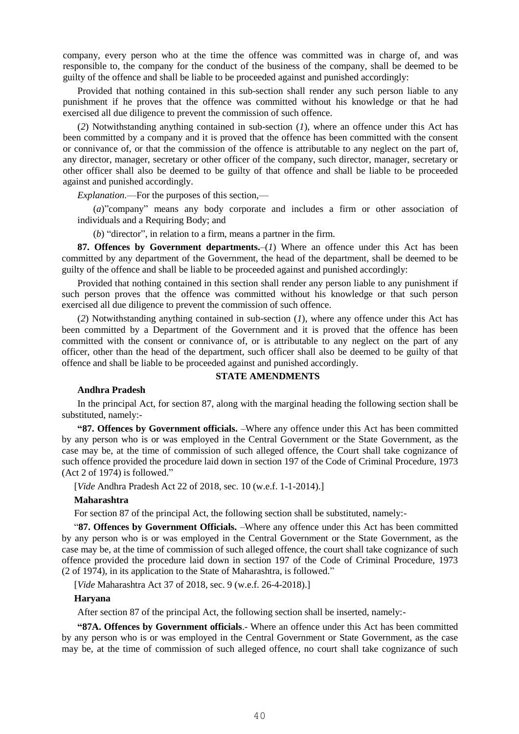company, every person who at the time the offence was committed was in charge of, and was responsible to, the company for the conduct of the business of the company, shall be deemed to be guilty of the offence and shall be liable to be proceeded against and punished accordingly:

Provided that nothing contained in this sub-section shall render any such person liable to any punishment if he proves that the offence was committed without his knowledge or that he had exercised all due diligence to prevent the commission of such offence.

(*2*) Notwithstanding anything contained in sub-section (*1*), where an offence under this Act has been committed by a company and it is proved that the offence has been committed with the consent or connivance of, or that the commission of the offence is attributable to any neglect on the part of, any director, manager, secretary or other officer of the company, such director, manager, secretary or other officer shall also be deemed to be guilty of that offence and shall be liable to be proceeded against and punished accordingly.

*Explanation*.—For the purposes of this section,—

(*a*)"company" means any body corporate and includes a firm or other association of individuals and a Requiring Body; and

(*b*) "director", in relation to a firm, means a partner in the firm.

**87. Offences by Government departments.**–(*1*) Where an offence under this Act has been committed by any department of the Government, the head of the department, shall be deemed to be guilty of the offence and shall be liable to be proceeded against and punished accordingly:

Provided that nothing contained in this section shall render any person liable to any punishment if such person proves that the offence was committed without his knowledge or that such person exercised all due diligence to prevent the commission of such offence.

(*2*) Notwithstanding anything contained in sub-section (*1*), where any offence under this Act has been committed by a Department of the Government and it is proved that the offence has been committed with the consent or connivance of, or is attributable to any neglect on the part of any officer, other than the head of the department, such officer shall also be deemed to be guilty of that offence and shall be liable to be proceeded against and punished accordingly.

#### **STATE AMENDMENTS**

#### **Andhra Pradesh**

In the principal Act, for section 87, along with the marginal heading the following section shall be substituted, namely:-

**"87. Offences by Government officials.** –Where any offence under this Act has been committed by any person who is or was employed in the Central Government or the State Government, as the case may be, at the time of commission of such alleged offence, the Court shall take cognizance of such offence provided the procedure laid down in section 197 of the Code of Criminal Procedure, 1973 (Act 2 of 1974) is followed."

[*Vide* Andhra Pradesh Act 22 of 2018, sec. 10 (w.e.f. 1-1-2014).]

#### **Maharashtra**

For section 87 of the principal Act, the following section shall be substituted, namely:-

"**87. Offences by Government Officials.** –Where any offence under this Act has been committed by any person who is or was employed in the Central Government or the State Government, as the case may be, at the time of commission of such alleged offence, the court shall take cognizance of such offence provided the procedure laid down in section 197 of the Code of Criminal Procedure, 1973 (2 of 1974), in its application to the State of Maharashtra, is followed."

[*Vide* Maharashtra Act 37 of 2018, sec. 9 (w.e.f. 26-4-2018).]

#### **Haryana**

After section 87 of the principal Act, the following section shall be inserted, namely:-

**"87A. Offences by Government officials**.- Where an offence under this Act has been committed by any person who is or was employed in the Central Government or State Government, as the case may be, at the time of commission of such alleged offence, no court shall take cognizance of such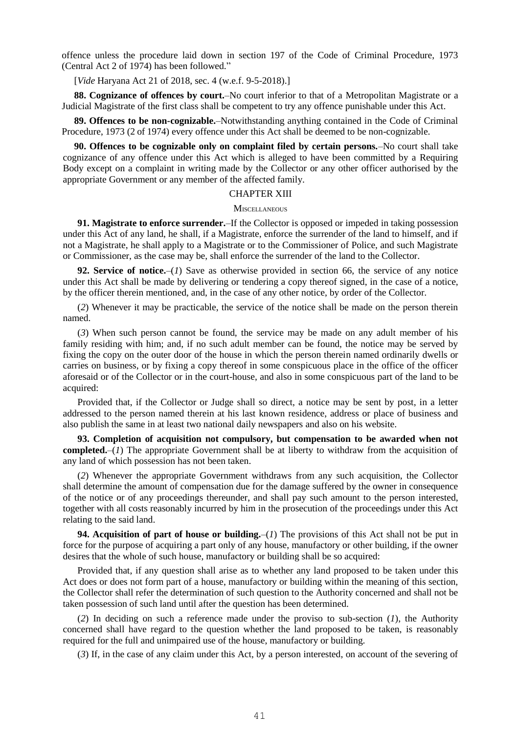offence unless the procedure laid down in section 197 of the Code of Criminal Procedure, 1973 (Central Act 2 of 1974) has been followed."

[*Vide* Haryana Act 21 of 2018, sec. 4 (w.e.f. 9-5-2018).]

**88. Cognizance of offences by court.**–No court inferior to that of a Metropolitan Magistrate or a Judicial Magistrate of the first class shall be competent to try any offence punishable under this Act.

**89. Offences to be non-cognizable.**–Notwithstanding anything contained in the Code of Criminal Procedure, 1973 (2 of 1974) every offence under this Act shall be deemed to be non-cognizable.

**90. Offences to be cognizable only on complaint filed by certain persons.**–No court shall take cognizance of any offence under this Act which is alleged to have been committed by a Requiring Body except on a complaint in writing made by the Collector or any other officer authorised by the appropriate Government or any member of the affected family.

### CHAPTER XIII

### **MISCELLANEOUS**

**91. Magistrate to enforce surrender.**–If the Collector is opposed or impeded in taking possession under this Act of any land, he shall, if a Magistrate, enforce the surrender of the land to himself, and if not a Magistrate, he shall apply to a Magistrate or to the Commissioner of Police, and such Magistrate or Commissioner, as the case may be, shall enforce the surrender of the land to the Collector.

**92. Service of notice.**–(*1*) Save as otherwise provided in section 66, the service of any notice under this Act shall be made by delivering or tendering a copy thereof signed, in the case of a notice, by the officer therein mentioned, and, in the case of any other notice, by order of the Collector.

(*2*) Whenever it may be practicable, the service of the notice shall be made on the person therein named.

(*3*) When such person cannot be found, the service may be made on any adult member of his family residing with him; and, if no such adult member can be found, the notice may be served by fixing the copy on the outer door of the house in which the person therein named ordinarily dwells or carries on business, or by fixing a copy thereof in some conspicuous place in the office of the officer aforesaid or of the Collector or in the court-house, and also in some conspicuous part of the land to be acquired:

Provided that, if the Collector or Judge shall so direct, a notice may be sent by post, in a letter addressed to the person named therein at his last known residence, address or place of business and also publish the same in at least two national daily newspapers and also on his website.

**93. Completion of acquisition not compulsory, but compensation to be awarded when not completed.**–(*1*) The appropriate Government shall be at liberty to withdraw from the acquisition of any land of which possession has not been taken.

(*2*) Whenever the appropriate Government withdraws from any such acquisition, the Collector shall determine the amount of compensation due for the damage suffered by the owner in consequence of the notice or of any proceedings thereunder, and shall pay such amount to the person interested, together with all costs reasonably incurred by him in the prosecution of the proceedings under this Act relating to the said land.

**94. Acquisition of part of house or building.**–(*1*) The provisions of this Act shall not be put in force for the purpose of acquiring a part only of any house, manufactory or other building, if the owner desires that the whole of such house, manufactory or building shall be so acquired:

Provided that, if any question shall arise as to whether any land proposed to be taken under this Act does or does not form part of a house, manufactory or building within the meaning of this section, the Collector shall refer the determination of such question to the Authority concerned and shall not be taken possession of such land until after the question has been determined.

(*2*) In deciding on such a reference made under the proviso to sub-section (*1*), the Authority concerned shall have regard to the question whether the land proposed to be taken, is reasonably required for the full and unimpaired use of the house, manufactory or building.

(*3*) If, in the case of any claim under this Act, by a person interested, on account of the severing of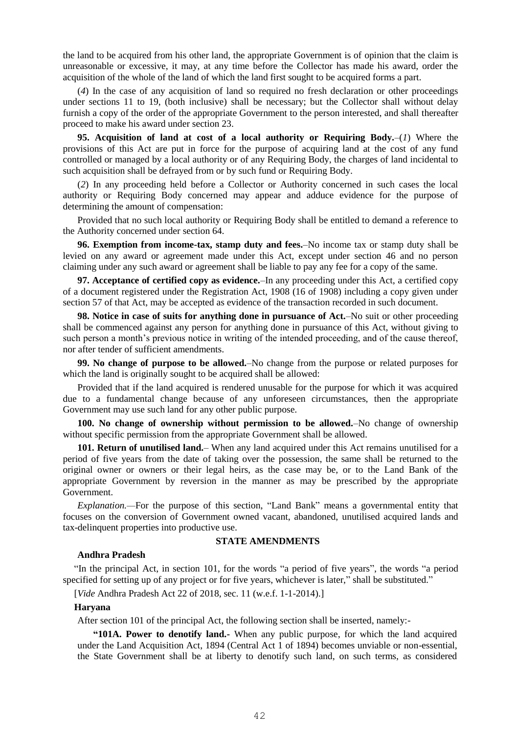the land to be acquired from his other land, the appropriate Government is of opinion that the claim is unreasonable or excessive, it may, at any time before the Collector has made his award, order the acquisition of the whole of the land of which the land first sought to be acquired forms a part.

(*4*) In the case of any acquisition of land so required no fresh declaration or other proceedings under sections 11 to 19, (both inclusive) shall be necessary; but the Collector shall without delay furnish a copy of the order of the appropriate Government to the person interested, and shall thereafter proceed to make his award under section 23.

**95. Acquisition of land at cost of a local authority or Requiring Body.**–(*1*) Where the provisions of this Act are put in force for the purpose of acquiring land at the cost of any fund controlled or managed by a local authority or of any Requiring Body, the charges of land incidental to such acquisition shall be defrayed from or by such fund or Requiring Body.

(*2*) In any proceeding held before a Collector or Authority concerned in such cases the local authority or Requiring Body concerned may appear and adduce evidence for the purpose of determining the amount of compensation:

Provided that no such local authority or Requiring Body shall be entitled to demand a reference to the Authority concerned under section 64.

**96. Exemption from income-tax, stamp duty and fees.**–No income tax or stamp duty shall be levied on any award or agreement made under this Act, except under section 46 and no person claiming under any such award or agreement shall be liable to pay any fee for a copy of the same.

**97. Acceptance of certified copy as evidence.**–In any proceeding under this Act, a certified copy of a document registered under the Registration Act, 1908 (16 of 1908) including a copy given under section 57 of that Act, may be accepted as evidence of the transaction recorded in such document.

**98. Notice in case of suits for anything done in pursuance of Act.**–No suit or other proceeding shall be commenced against any person for anything done in pursuance of this Act, without giving to such person a month's previous notice in writing of the intended proceeding, and of the cause thereof, nor after tender of sufficient amendments.

**99. No change of purpose to be allowed.**–No change from the purpose or related purposes for which the land is originally sought to be acquired shall be allowed:

Provided that if the land acquired is rendered unusable for the purpose for which it was acquired due to a fundamental change because of any unforeseen circumstances, then the appropriate Government may use such land for any other public purpose.

**100. No change of ownership without permission to be allowed.**–No change of ownership without specific permission from the appropriate Government shall be allowed.

**101. Return of unutilised land.**– When any land acquired under this Act remains unutilised for a period of five years from the date of taking over the possession, the same shall be returned to the original owner or owners or their legal heirs, as the case may be, or to the Land Bank of the appropriate Government by reversion in the manner as may be prescribed by the appropriate Government.

*Explanation.—*For the purpose of this section, "Land Bank" means a governmental entity that focuses on the conversion of Government owned vacant, abandoned, unutilised acquired lands and tax-delinquent properties into productive use.

### **STATE AMENDMENTS**

### **Andhra Pradesh**

"In the principal Act, in section 101, for the words "a period of five years", the words "a period specified for setting up of any project or for five years, whichever is later," shall be substituted."

[*Vide* Andhra Pradesh Act 22 of 2018, sec. 11 (w.e.f. 1-1-2014).]

### **Haryana**

After section 101 of the principal Act, the following section shall be inserted, namely:-

**"101A. Power to denotify land.-** When any public purpose, for which the land acquired under the Land Acquisition Act, 1894 (Central Act 1 of 1894) becomes unviable or non-essential, the State Government shall be at liberty to denotify such land, on such terms, as considered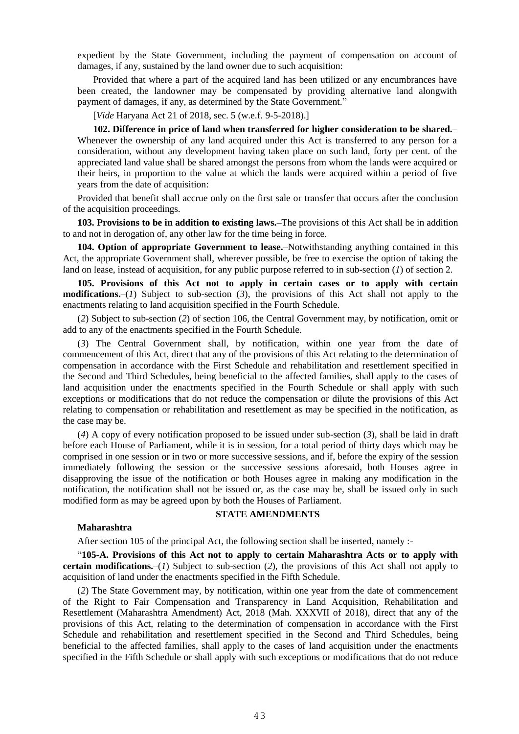expedient by the State Government, including the payment of compensation on account of damages, if any, sustained by the land owner due to such acquisition:

Provided that where a part of the acquired land has been utilized or any encumbrances have been created, the landowner may be compensated by providing alternative land alongwith payment of damages, if any, as determined by the State Government."

[*Vide* Haryana Act 21 of 2018, sec. 5 (w.e.f. 9-5-2018).]

**102. Difference in price of land when transferred for higher consideration to be shared.**– Whenever the ownership of any land acquired under this Act is transferred to any person for a consideration, without any development having taken place on such land, forty per cent. of the appreciated land value shall be shared amongst the persons from whom the lands were acquired or their heirs, in proportion to the value at which the lands were acquired within a period of five years from the date of acquisition:

Provided that benefit shall accrue only on the first sale or transfer that occurs after the conclusion of the acquisition proceedings.

**103. Provisions to be in addition to existing laws.**–The provisions of this Act shall be in addition to and not in derogation of, any other law for the time being in force.

**104. Option of appropriate Government to lease.**–Notwithstanding anything contained in this Act, the appropriate Government shall, wherever possible, be free to exercise the option of taking the land on lease, instead of acquisition, for any public purpose referred to in sub-section (*1*) of section 2.

**105. Provisions of this Act not to apply in certain cases or to apply with certain modifications.**–(*1*) Subject to sub-section (*3*), the provisions of this Act shall not apply to the enactments relating to land acquisition specified in the Fourth Schedule.

(*2*) Subject to sub-section (*2*) of section 106, the Central Government may, by notification, omit or add to any of the enactments specified in the Fourth Schedule.

(*3*) The Central Government shall, by notification, within one year from the date of commencement of this Act, direct that any of the provisions of this Act relating to the determination of compensation in accordance with the First Schedule and rehabilitation and resettlement specified in the Second and Third Schedules, being beneficial to the affected families, shall apply to the cases of land acquisition under the enactments specified in the Fourth Schedule or shall apply with such exceptions or modifications that do not reduce the compensation or dilute the provisions of this Act relating to compensation or rehabilitation and resettlement as may be specified in the notification, as the case may be.

(*4*) A copy of every notification proposed to be issued under sub-section (*3*), shall be laid in draft before each House of Parliament, while it is in session, for a total period of thirty days which may be comprised in one session or in two or more successive sessions, and if, before the expiry of the session immediately following the session or the successive sessions aforesaid, both Houses agree in disapproving the issue of the notification or both Houses agree in making any modification in the notification, the notification shall not be issued or, as the case may be, shall be issued only in such modified form as may be agreed upon by both the Houses of Parliament.

#### **Maharashtra**

## **STATE AMENDMENTS**

After section 105 of the principal Act, the following section shall be inserted, namely :-

"**105-A. Provisions of this Act not to apply to certain Maharashtra Acts or to apply with certain modifications.**–(*1*) Subject to sub-section (*2*), the provisions of this Act shall not apply to acquisition of land under the enactments specified in the Fifth Schedule.

(*2*) The State Government may, by notification, within one year from the date of commencement of the Right to Fair Compensation and Transparency in Land Acquisition, Rehabilitation and Resettlement (Maharashtra Amendment) Act, 2018 (Mah. XXXVII of 2018), direct that any of the provisions of this Act, relating to the determination of compensation in accordance with the First Schedule and rehabilitation and resettlement specified in the Second and Third Schedules, being beneficial to the affected families, shall apply to the cases of land acquisition under the enactments specified in the Fifth Schedule or shall apply with such exceptions or modifications that do not reduce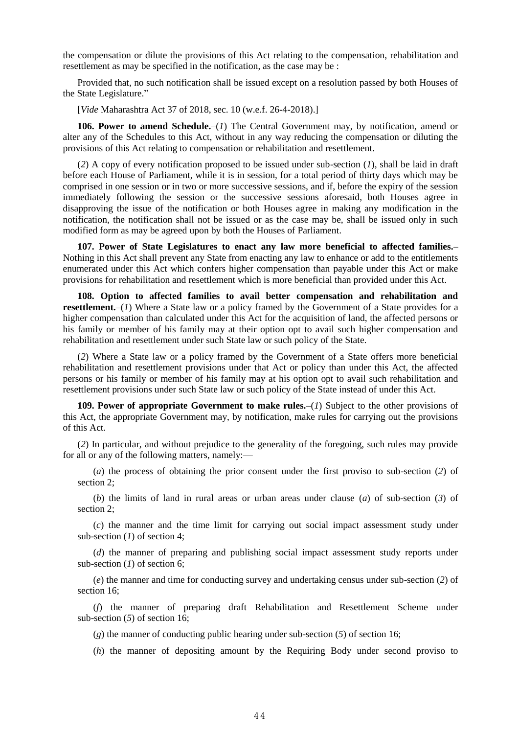the compensation or dilute the provisions of this Act relating to the compensation, rehabilitation and resettlement as may be specified in the notification, as the case may be :

Provided that, no such notification shall be issued except on a resolution passed by both Houses of the State Legislature."

[*Vide* Maharashtra Act 37 of 2018, sec. 10 (w.e.f. 26-4-2018).]

106. Power to amend Schedule.–(*1*) The Central Government may, by notification, amend or alter any of the Schedules to this Act, without in any way reducing the compensation or diluting the provisions of this Act relating to compensation or rehabilitation and resettlement.

(*2*) A copy of every notification proposed to be issued under sub-section (*1*), shall be laid in draft before each House of Parliament, while it is in session, for a total period of thirty days which may be comprised in one session or in two or more successive sessions, and if, before the expiry of the session immediately following the session or the successive sessions aforesaid, both Houses agree in disapproving the issue of the notification or both Houses agree in making any modification in the notification, the notification shall not be issued or as the case may be, shall be issued only in such modified form as may be agreed upon by both the Houses of Parliament.

**107. Power of State Legislatures to enact any law more beneficial to affected families.**– Nothing in this Act shall prevent any State from enacting any law to enhance or add to the entitlements enumerated under this Act which confers higher compensation than payable under this Act or make provisions for rehabilitation and resettlement which is more beneficial than provided under this Act.

**108. Option to affected families to avail better compensation and rehabilitation and resettlement.**–(*1*) Where a State law or a policy framed by the Government of a State provides for a higher compensation than calculated under this Act for the acquisition of land, the affected persons or his family or member of his family may at their option opt to avail such higher compensation and rehabilitation and resettlement under such State law or such policy of the State.

(*2*) Where a State law or a policy framed by the Government of a State offers more beneficial rehabilitation and resettlement provisions under that Act or policy than under this Act, the affected persons or his family or member of his family may at his option opt to avail such rehabilitation and resettlement provisions under such State law or such policy of the State instead of under this Act.

**109. Power of appropriate Government to make rules.**–(*1*) Subject to the other provisions of this Act, the appropriate Government may, by notification, make rules for carrying out the provisions of this Act.

(*2*) In particular, and without prejudice to the generality of the foregoing, such rules may provide for all or any of the following matters, namely:—

(*a*) the process of obtaining the prior consent under the first proviso to sub-section (*2*) of section 2;

(*b*) the limits of land in rural areas or urban areas under clause (*a*) of sub-section (*3*) of section 2;

(*c*) the manner and the time limit for carrying out social impact assessment study under sub-section (*1*) of section 4;

(*d*) the manner of preparing and publishing social impact assessment study reports under sub-section (*1*) of section 6;

(*e*) the manner and time for conducting survey and undertaking census under sub-section (*2*) of section 16;

(*f*) the manner of preparing draft Rehabilitation and Resettlement Scheme under sub-section (*5*) of section 16;

(*g*) the manner of conducting public hearing under sub-section (*5*) of section 16;

(*h*) the manner of depositing amount by the Requiring Body under second proviso to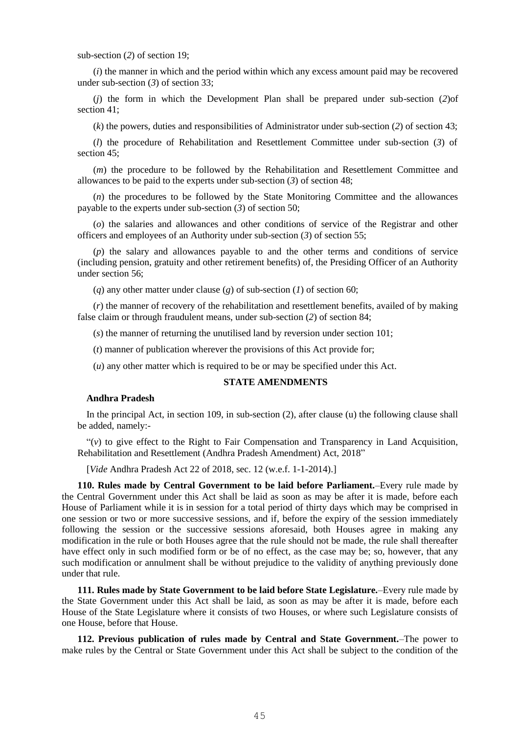sub-section (*2*) of section 19;

(*i*) the manner in which and the period within which any excess amount paid may be recovered under sub-section (*3*) of section 33;

(*j*) the form in which the Development Plan shall be prepared under sub-section (*2*)of section 41;

(*k*) the powers, duties and responsibilities of Administrator under sub-section (*2*) of section 43;

(*l*) the procedure of Rehabilitation and Resettlement Committee under sub-section (*3*) of section 45:

(*m*) the procedure to be followed by the Rehabilitation and Resettlement Committee and allowances to be paid to the experts under sub-section (*3*) of section 48;

(*n*) the procedures to be followed by the State Monitoring Committee and the allowances payable to the experts under sub-section (*3*) of section 50;

(*o*) the salaries and allowances and other conditions of service of the Registrar and other officers and employees of an Authority under sub-section (*3*) of section 55;

(*p*) the salary and allowances payable to and the other terms and conditions of service (including pension, gratuity and other retirement benefits) of, the Presiding Officer of an Authority under section 56;

(*q*) any other matter under clause (*g*) of sub-section (*1*) of section 60;

(*r*) the manner of recovery of the rehabilitation and resettlement benefits, availed of by making false claim or through fraudulent means, under sub-section (*2*) of section 84;

(*s*) the manner of returning the unutilised land by reversion under section 101;

(*t*) manner of publication wherever the provisions of this Act provide for;

(*u*) any other matter which is required to be or may be specified under this Act.

### **STATE AMENDMENTS**

### **Andhra Pradesh**

In the principal Act, in section 109, in sub-section (2), after clause (u) the following clause shall be added, namely:-

"(*v*) to give effect to the Right to Fair Compensation and Transparency in Land Acquisition, Rehabilitation and Resettlement (Andhra Pradesh Amendment) Act, 2018"

[*Vide* Andhra Pradesh Act 22 of 2018, sec. 12 (w.e.f. 1-1-2014).]

**110. Rules made by Central Government to be laid before Parliament.**–Every rule made by the Central Government under this Act shall be laid as soon as may be after it is made, before each House of Parliament while it is in session for a total period of thirty days which may be comprised in one session or two or more successive sessions, and if, before the expiry of the session immediately following the session or the successive sessions aforesaid, both Houses agree in making any modification in the rule or both Houses agree that the rule should not be made, the rule shall thereafter have effect only in such modified form or be of no effect, as the case may be; so, however, that any such modification or annulment shall be without prejudice to the validity of anything previously done under that rule.

**111. Rules made by State Government to be laid before State Legislature.**–Every rule made by the State Government under this Act shall be laid, as soon as may be after it is made, before each House of the State Legislature where it consists of two Houses, or where such Legislature consists of one House, before that House.

**112. Previous publication of rules made by Central and State Government.**–The power to make rules by the Central or State Government under this Act shall be subject to the condition of the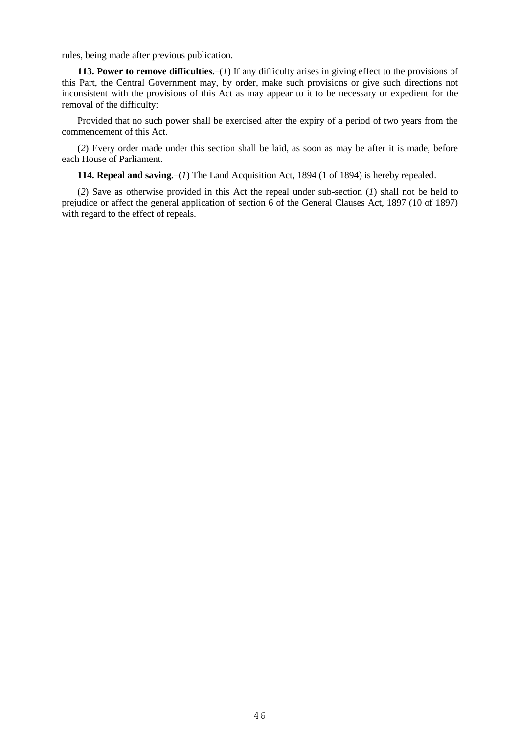rules, being made after previous publication.

**113. Power to remove difficulties.**–(*1*) If any difficulty arises in giving effect to the provisions of this Part, the Central Government may, by order, make such provisions or give such directions not inconsistent with the provisions of this Act as may appear to it to be necessary or expedient for the removal of the difficulty:

Provided that no such power shall be exercised after the expiry of a period of two years from the commencement of this Act.

(*2*) Every order made under this section shall be laid, as soon as may be after it is made, before each House of Parliament.

**114. Repeal and saving.**–(*1*) The Land Acquisition Act, 1894 (1 of 1894) is hereby repealed.

(*2*) Save as otherwise provided in this Act the repeal under sub-section (*1*) shall not be held to prejudice or affect the general application of section 6 of the General Clauses Act, 1897 (10 of 1897) with regard to the effect of repeals.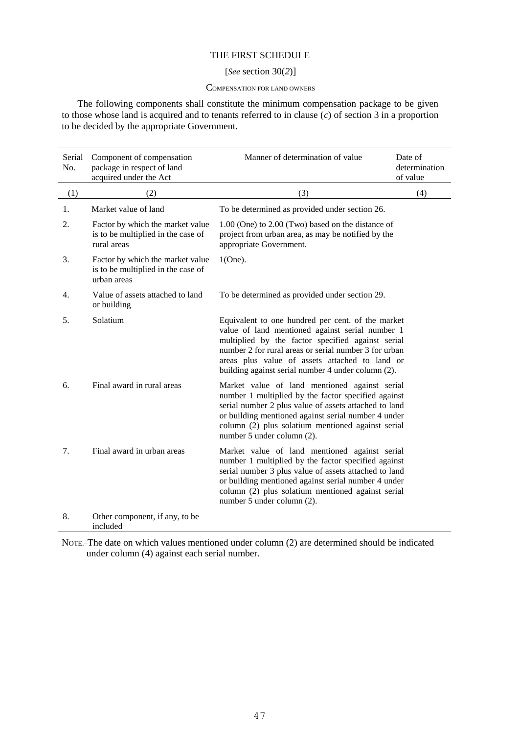## THE FIRST SCHEDULE

### [*See* section 30(*2*)]

#### COMPENSATION FOR LAND OWNERS

The following components shall constitute the minimum compensation package to be given to those whose land is acquired and to tenants referred to in clause (*c*) of section 3 in a proportion to be decided by the appropriate Government.

| Serial<br>No. | Component of compensation<br>package in respect of land<br>acquired under the Act     | Manner of determination of value                                                                                                                                                                                                                                                                                           | Date of<br>determination<br>of value |
|---------------|---------------------------------------------------------------------------------------|----------------------------------------------------------------------------------------------------------------------------------------------------------------------------------------------------------------------------------------------------------------------------------------------------------------------------|--------------------------------------|
| (1)           | (2)                                                                                   | (3)                                                                                                                                                                                                                                                                                                                        | (4)                                  |
| 1.            | Market value of land                                                                  | To be determined as provided under section 26.                                                                                                                                                                                                                                                                             |                                      |
| 2.            | Factor by which the market value<br>is to be multiplied in the case of<br>rural areas | 1.00 (One) to 2.00 (Two) based on the distance of<br>project from urban area, as may be notified by the<br>appropriate Government.                                                                                                                                                                                         |                                      |
| 3.            | Factor by which the market value<br>is to be multiplied in the case of<br>urban areas | $1(One)$ .                                                                                                                                                                                                                                                                                                                 |                                      |
| 4.            | Value of assets attached to land<br>or building                                       | To be determined as provided under section 29.                                                                                                                                                                                                                                                                             |                                      |
| 5.            | Solatium                                                                              | Equivalent to one hundred per cent. of the market<br>value of land mentioned against serial number 1<br>multiplied by the factor specified against serial<br>number 2 for rural areas or serial number 3 for urban<br>areas plus value of assets attached to land or<br>building against serial number 4 under column (2). |                                      |
| 6.            | Final award in rural areas                                                            | Market value of land mentioned against serial<br>number 1 multiplied by the factor specified against<br>serial number 2 plus value of assets attached to land<br>or building mentioned against serial number 4 under<br>column (2) plus solatium mentioned against serial<br>number 5 under column (2).                    |                                      |
| 7.            | Final award in urban areas                                                            | Market value of land mentioned against serial<br>number 1 multiplied by the factor specified against<br>serial number 3 plus value of assets attached to land<br>or building mentioned against serial number 4 under<br>column (2) plus solatium mentioned against serial<br>number 5 under column (2).                    |                                      |
| 8.            | Other component, if any, to be<br>included                                            |                                                                                                                                                                                                                                                                                                                            |                                      |

NOTE.–The date on which values mentioned under column (2) are determined should be indicated under column (4) against each serial number.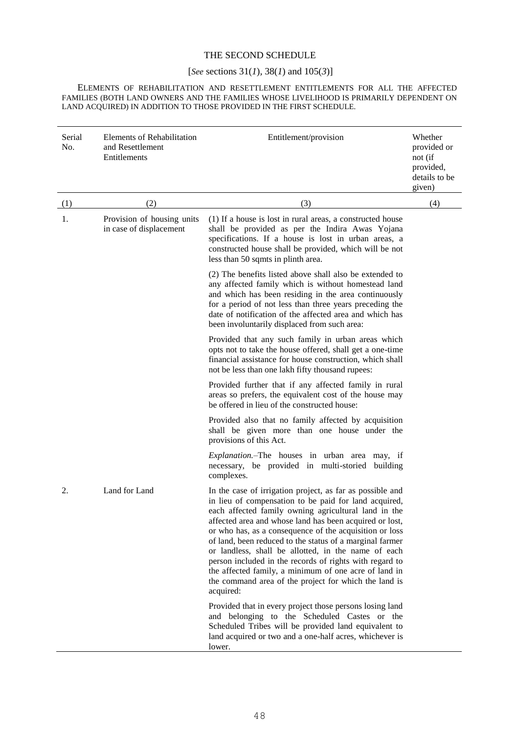## THE SECOND SCHEDULE

# [*See* sections 31(*1*)*,* 38(*1*) and 105(*3*)]

ELEMENTS OF REHABILITATION AND RESETTLEMENT ENTITLEMENTS FOR ALL THE AFFECTED FAMILIES (BOTH LAND OWNERS AND THE FAMILIES WHOSE LIVELIHOOD IS PRIMARILY DEPENDENT ON LAND ACQUIRED) IN ADDITION TO THOSE PROVIDED IN THE FIRST SCHEDULE.

| Serial<br>No. | <b>Elements of Rehabilitation</b><br>and Resettlement<br>Entitlements | Entitlement/provision                                                                                                                                                                                                                                                                                                                                                                                                                                                                                                                                                                                         | Whether<br>provided or<br>not (if<br>provided,<br>details to be<br>given) |
|---------------|-----------------------------------------------------------------------|---------------------------------------------------------------------------------------------------------------------------------------------------------------------------------------------------------------------------------------------------------------------------------------------------------------------------------------------------------------------------------------------------------------------------------------------------------------------------------------------------------------------------------------------------------------------------------------------------------------|---------------------------------------------------------------------------|
| (1)           | (2)                                                                   | (3)                                                                                                                                                                                                                                                                                                                                                                                                                                                                                                                                                                                                           | (4)                                                                       |
| 1.            | Provision of housing units<br>in case of displacement                 | (1) If a house is lost in rural areas, a constructed house<br>shall be provided as per the Indira Awas Yojana<br>specifications. If a house is lost in urban areas, a<br>constructed house shall be provided, which will be not<br>less than 50 sqmts in plinth area.                                                                                                                                                                                                                                                                                                                                         |                                                                           |
|               |                                                                       | (2) The benefits listed above shall also be extended to<br>any affected family which is without homestead land<br>and which has been residing in the area continuously<br>for a period of not less than three years preceding the<br>date of notification of the affected area and which has<br>been involuntarily displaced from such area:                                                                                                                                                                                                                                                                  |                                                                           |
|               |                                                                       | Provided that any such family in urban areas which<br>opts not to take the house offered, shall get a one-time<br>financial assistance for house construction, which shall<br>not be less than one lakh fifty thousand rupees:                                                                                                                                                                                                                                                                                                                                                                                |                                                                           |
|               |                                                                       | Provided further that if any affected family in rural<br>areas so prefers, the equivalent cost of the house may<br>be offered in lieu of the constructed house:                                                                                                                                                                                                                                                                                                                                                                                                                                               |                                                                           |
|               |                                                                       | Provided also that no family affected by acquisition<br>shall be given more than one house under the<br>provisions of this Act.                                                                                                                                                                                                                                                                                                                                                                                                                                                                               |                                                                           |
|               |                                                                       | Explanation.-The houses in urban area may, if<br>necessary, be provided in multi-storied building<br>complexes.                                                                                                                                                                                                                                                                                                                                                                                                                                                                                               |                                                                           |
| 2.            | Land for Land                                                         | In the case of irrigation project, as far as possible and<br>in lieu of compensation to be paid for land acquired,<br>each affected family owning agricultural land in the<br>affected area and whose land has been acquired or lost,<br>or who has, as a consequence of the acquisition or loss<br>of land, been reduced to the status of a marginal farmer<br>or landless, shall be allotted, in the name of each<br>person included in the records of rights with regard to<br>the affected family, a minimum of one acre of land in<br>the command area of the project for which the land is<br>acquired: |                                                                           |
|               |                                                                       | Provided that in every project those persons losing land<br>and belonging to the Scheduled Castes or the<br>Scheduled Tribes will be provided land equivalent to<br>land acquired or two and a one-half acres, whichever is<br>lower.                                                                                                                                                                                                                                                                                                                                                                         |                                                                           |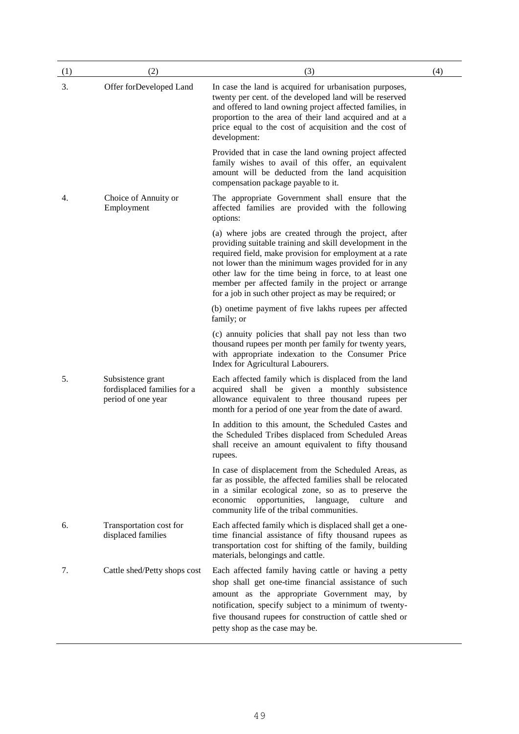| (1) | (2)                                                                    | (3)                                                                                                                                                                                                                                                                                                                                                                                                              | (4) |
|-----|------------------------------------------------------------------------|------------------------------------------------------------------------------------------------------------------------------------------------------------------------------------------------------------------------------------------------------------------------------------------------------------------------------------------------------------------------------------------------------------------|-----|
| 3.  | Offer forDeveloped Land                                                | In case the land is acquired for urbanisation purposes,<br>twenty per cent. of the developed land will be reserved<br>and offered to land owning project affected families, in<br>proportion to the area of their land acquired and at a<br>price equal to the cost of acquisition and the cost of<br>development:                                                                                               |     |
|     |                                                                        | Provided that in case the land owning project affected<br>family wishes to avail of this offer, an equivalent<br>amount will be deducted from the land acquisition<br>compensation package payable to it.                                                                                                                                                                                                        |     |
| 4.  | Choice of Annuity or<br>Employment                                     | The appropriate Government shall ensure that the<br>affected families are provided with the following<br>options:                                                                                                                                                                                                                                                                                                |     |
|     |                                                                        | (a) where jobs are created through the project, after<br>providing suitable training and skill development in the<br>required field, make provision for employment at a rate<br>not lower than the minimum wages provided for in any<br>other law for the time being in force, to at least one<br>member per affected family in the project or arrange<br>for a job in such other project as may be required; or |     |
|     |                                                                        | (b) one time payment of five lakhs rupees per affected<br>family; or                                                                                                                                                                                                                                                                                                                                             |     |
|     |                                                                        | (c) annuity policies that shall pay not less than two<br>thousand rupees per month per family for twenty years,<br>with appropriate indexation to the Consumer Price<br>Index for Agricultural Labourers.                                                                                                                                                                                                        |     |
| 5.  | Subsistence grant<br>fordisplaced families for a<br>period of one year | Each affected family which is displaced from the land<br>acquired shall be given a monthly subsistence<br>allowance equivalent to three thousand rupees per<br>month for a period of one year from the date of award.                                                                                                                                                                                            |     |
|     |                                                                        | In addition to this amount, the Scheduled Castes and<br>the Scheduled Tribes displaced from Scheduled Areas<br>shall receive an amount equivalent to fifty thousand<br>rupees.                                                                                                                                                                                                                                   |     |
|     |                                                                        | In case of displacement from the Scheduled Areas, as<br>far as possible, the affected families shall be relocated<br>in a similar ecological zone, so as to preserve the<br>opportunities,<br>language,<br>culture<br>economic<br>and<br>community life of the tribal communities.                                                                                                                               |     |
| 6.  | Transportation cost for<br>displaced families                          | Each affected family which is displaced shall get a one-<br>time financial assistance of fifty thousand rupees as<br>transportation cost for shifting of the family, building<br>materials, belongings and cattle.                                                                                                                                                                                               |     |
| 7.  | Cattle shed/Petty shops cost                                           | Each affected family having cattle or having a petty<br>shop shall get one-time financial assistance of such<br>amount as the appropriate Government may, by<br>notification, specify subject to a minimum of twenty-<br>five thousand rupees for construction of cattle shed or<br>petty shop as the case may be.                                                                                               |     |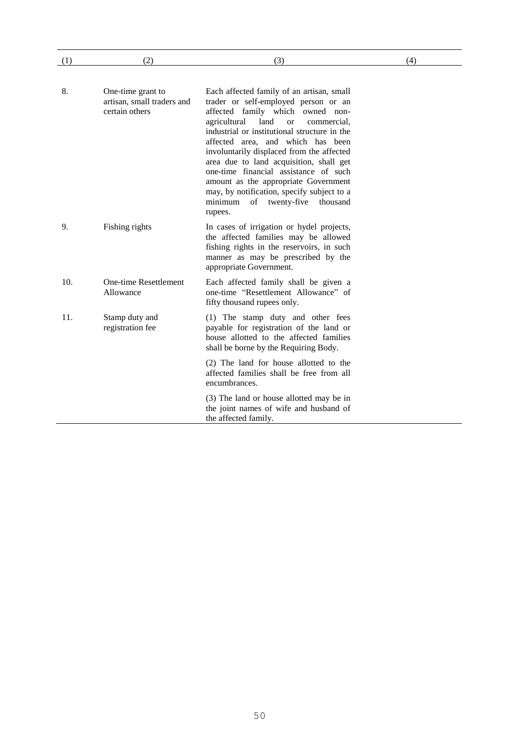| (1) | (2)                                                               | (3)                                                                                                                                                                                                                                                                                                                                                                                                                                                                                                                                           | (4) |
|-----|-------------------------------------------------------------------|-----------------------------------------------------------------------------------------------------------------------------------------------------------------------------------------------------------------------------------------------------------------------------------------------------------------------------------------------------------------------------------------------------------------------------------------------------------------------------------------------------------------------------------------------|-----|
|     |                                                                   |                                                                                                                                                                                                                                                                                                                                                                                                                                                                                                                                               |     |
| 8.  | One-time grant to<br>artisan, small traders and<br>certain others | Each affected family of an artisan, small<br>trader or self-employed person or an<br>affected family which owned non-<br>agricultural<br>land<br><sub>or</sub><br>commercial.<br>industrial or institutional structure in the<br>affected area, and which has been<br>involuntarily displaced from the affected<br>area due to land acquisition, shall get<br>one-time financial assistance of such<br>amount as the appropriate Government<br>may, by notification, specify subject to a<br>of twenty-five<br>minimum<br>thousand<br>rupees. |     |
| 9.  | Fishing rights                                                    | In cases of irrigation or hydel projects,<br>the affected families may be allowed<br>fishing rights in the reservoirs, in such<br>manner as may be prescribed by the<br>appropriate Government.                                                                                                                                                                                                                                                                                                                                               |     |
| 10. | One-time Resettlement<br>Allowance                                | Each affected family shall be given a<br>one-time "Resettlement Allowance" of<br>fifty thousand rupees only.                                                                                                                                                                                                                                                                                                                                                                                                                                  |     |
| 11. | Stamp duty and<br>registration fee                                | (1) The stamp duty and other fees<br>payable for registration of the land or<br>house allotted to the affected families<br>shall be borne by the Requiring Body.                                                                                                                                                                                                                                                                                                                                                                              |     |
|     |                                                                   | (2) The land for house allotted to the<br>affected families shall be free from all<br>encumbrances.                                                                                                                                                                                                                                                                                                                                                                                                                                           |     |
|     |                                                                   | (3) The land or house allotted may be in<br>the joint names of wife and husband of<br>the affected family.                                                                                                                                                                                                                                                                                                                                                                                                                                    |     |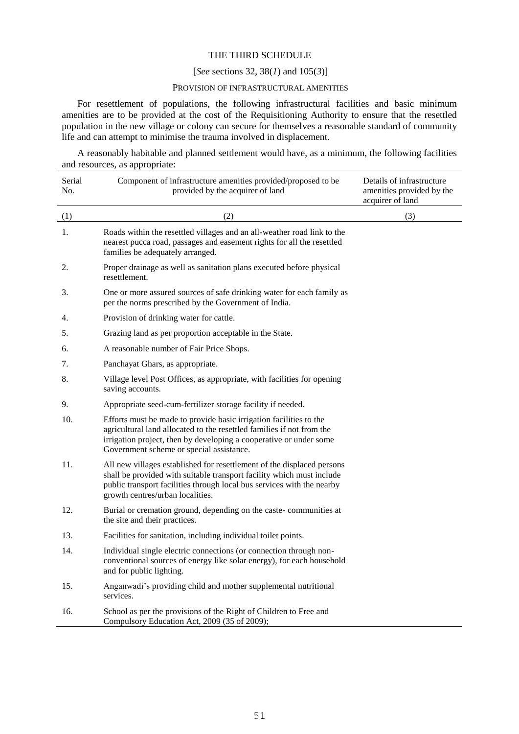## THE THIRD SCHEDULE

### [*See* sections 32, 38(*1*) and 105(*3*)]

## PROVISION OF INFRASTRUCTURAL AMENITIES

For resettlement of populations, the following infrastructural facilities and basic minimum amenities are to be provided at the cost of the Requisitioning Authority to ensure that the resettled population in the new village or colony can secure for themselves a reasonable standard of community life and can attempt to minimise the trauma involved in displacement.

A reasonably habitable and planned settlement would have, as a minimum, the following facilities and resources, as appropriate:

| Serial<br>No. | Component of infrastructure amenities provided/proposed to be<br>provided by the acquirer of land                                                                                                                                                             | Details of infrastructure<br>amenities provided by the<br>acquirer of land |
|---------------|---------------------------------------------------------------------------------------------------------------------------------------------------------------------------------------------------------------------------------------------------------------|----------------------------------------------------------------------------|
| (1)           | (2)                                                                                                                                                                                                                                                           | (3)                                                                        |
| 1.            | Roads within the resettled villages and an all-weather road link to the<br>nearest pucca road, passages and easement rights for all the resettled<br>families be adequately arranged.                                                                         |                                                                            |
| 2.            | Proper drainage as well as sanitation plans executed before physical<br>resettlement.                                                                                                                                                                         |                                                                            |
| 3.            | One or more assured sources of safe drinking water for each family as<br>per the norms prescribed by the Government of India.                                                                                                                                 |                                                                            |
| 4.            | Provision of drinking water for cattle.                                                                                                                                                                                                                       |                                                                            |
| 5.            | Grazing land as per proportion acceptable in the State.                                                                                                                                                                                                       |                                                                            |
| 6.            | A reasonable number of Fair Price Shops.                                                                                                                                                                                                                      |                                                                            |
| 7.            | Panchayat Ghars, as appropriate.                                                                                                                                                                                                                              |                                                                            |
| 8.            | Village level Post Offices, as appropriate, with facilities for opening<br>saving accounts.                                                                                                                                                                   |                                                                            |
| 9.            | Appropriate seed-cum-fertilizer storage facility if needed.                                                                                                                                                                                                   |                                                                            |
| 10.           | Efforts must be made to provide basic irrigation facilities to the<br>agricultural land allocated to the resettled families if not from the<br>irrigation project, then by developing a cooperative or under some<br>Government scheme or special assistance. |                                                                            |
| 11.           | All new villages established for resettlement of the displaced persons<br>shall be provided with suitable transport facility which must include<br>public transport facilities through local bus services with the nearby<br>growth centres/urban localities. |                                                                            |
| 12.           | Burial or cremation ground, depending on the caste-communities at<br>the site and their practices.                                                                                                                                                            |                                                                            |
| 13.           | Facilities for sanitation, including individual toilet points.                                                                                                                                                                                                |                                                                            |
| 14.           | Individual single electric connections (or connection through non-<br>conventional sources of energy like solar energy), for each household<br>and for public lighting.                                                                                       |                                                                            |
| 15.           | Anganwadi's providing child and mother supplemental nutritional<br>services.                                                                                                                                                                                  |                                                                            |
| 16.           | School as per the provisions of the Right of Children to Free and<br>Compulsory Education Act, 2009 (35 of 2009);                                                                                                                                             |                                                                            |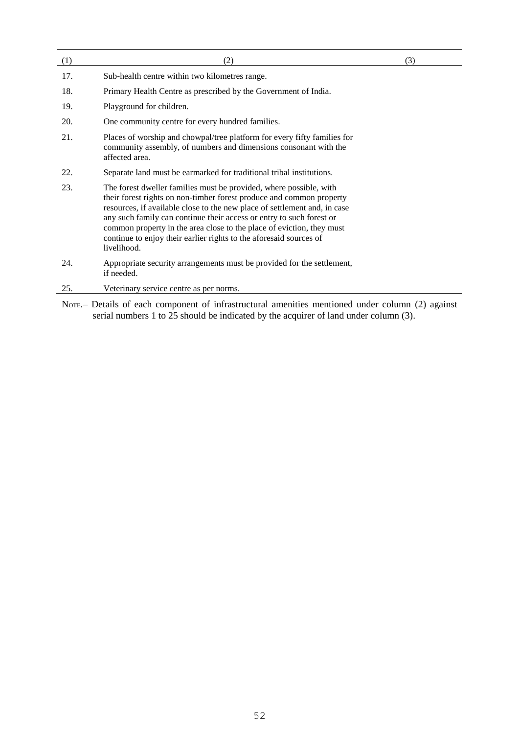| (1) | (2)                                                                                                                                                                                                                                                                                                                                                                                                                                                           | (3) |
|-----|---------------------------------------------------------------------------------------------------------------------------------------------------------------------------------------------------------------------------------------------------------------------------------------------------------------------------------------------------------------------------------------------------------------------------------------------------------------|-----|
| 17. | Sub-health centre within two kilometres range.                                                                                                                                                                                                                                                                                                                                                                                                                |     |
| 18. | Primary Health Centre as prescribed by the Government of India.                                                                                                                                                                                                                                                                                                                                                                                               |     |
| 19. | Playground for children.                                                                                                                                                                                                                                                                                                                                                                                                                                      |     |
| 20. | One community centre for every hundred families.                                                                                                                                                                                                                                                                                                                                                                                                              |     |
| 21. | Places of worship and chowpal/tree platform for every fifty families for<br>community assembly, of numbers and dimensions consonant with the<br>affected area.                                                                                                                                                                                                                                                                                                |     |
| 22. | Separate land must be earmarked for traditional tribal institutions.                                                                                                                                                                                                                                                                                                                                                                                          |     |
| 23. | The forest dweller families must be provided, where possible, with<br>their forest rights on non-timber forest produce and common property<br>resources, if available close to the new place of settlement and, in case<br>any such family can continue their access or entry to such forest or<br>common property in the area close to the place of eviction, they must<br>continue to enjoy their earlier rights to the aforesaid sources of<br>livelihood. |     |
| 24. | Appropriate security arrangements must be provided for the settlement,<br>if needed.                                                                                                                                                                                                                                                                                                                                                                          |     |
| 25. | Veterinary service centre as per norms.                                                                                                                                                                                                                                                                                                                                                                                                                       |     |

NOTE.– Details of each component of infrastructural amenities mentioned under column (2) against serial numbers 1 to 25 should be indicated by the acquirer of land under column (3).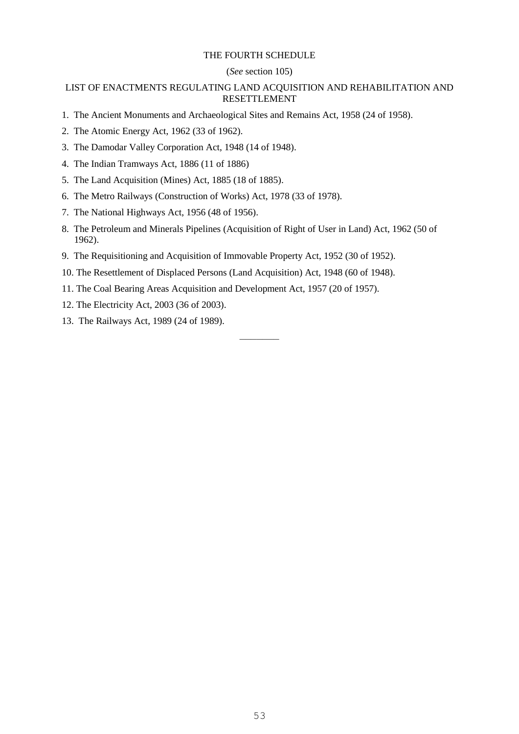## THE FOURTH SCHEDULE

### (*See* section 105)

## LIST OF ENACTMENTS REGULATING LAND ACQUISITION AND REHABILITATION AND RESETTLEMENT

- 1. The Ancient Monuments and Archaeological Sites and Remains Act, 1958 (24 of 1958).
- 2. The Atomic Energy Act, 1962 (33 of 1962).
- 3. The Damodar Valley Corporation Act, 1948 (14 of 1948).
- 4. The Indian Tramways Act, 1886 (11 of 1886)
- 5. The Land Acquisition (Mines) Act, 1885 (18 of 1885).
- 6. The Metro Railways (Construction of Works) Act, 1978 (33 of 1978).
- 7. The National Highways Act, 1956 (48 of 1956).
- 8. The Petroleum and Minerals Pipelines (Acquisition of Right of User in Land) Act, 1962 (50 of 1962).

–––––––

- 9. The Requisitioning and Acquisition of Immovable Property Act, 1952 (30 of 1952).
- 10. The Resettlement of Displaced Persons (Land Acquisition) Act, 1948 (60 of 1948).
- 11. The Coal Bearing Areas Acquisition and Development Act, 1957 (20 of 1957).
- 12. The Electricity Act, 2003 (36 of 2003).
- 13. The Railways Act, 1989 (24 of 1989).

53